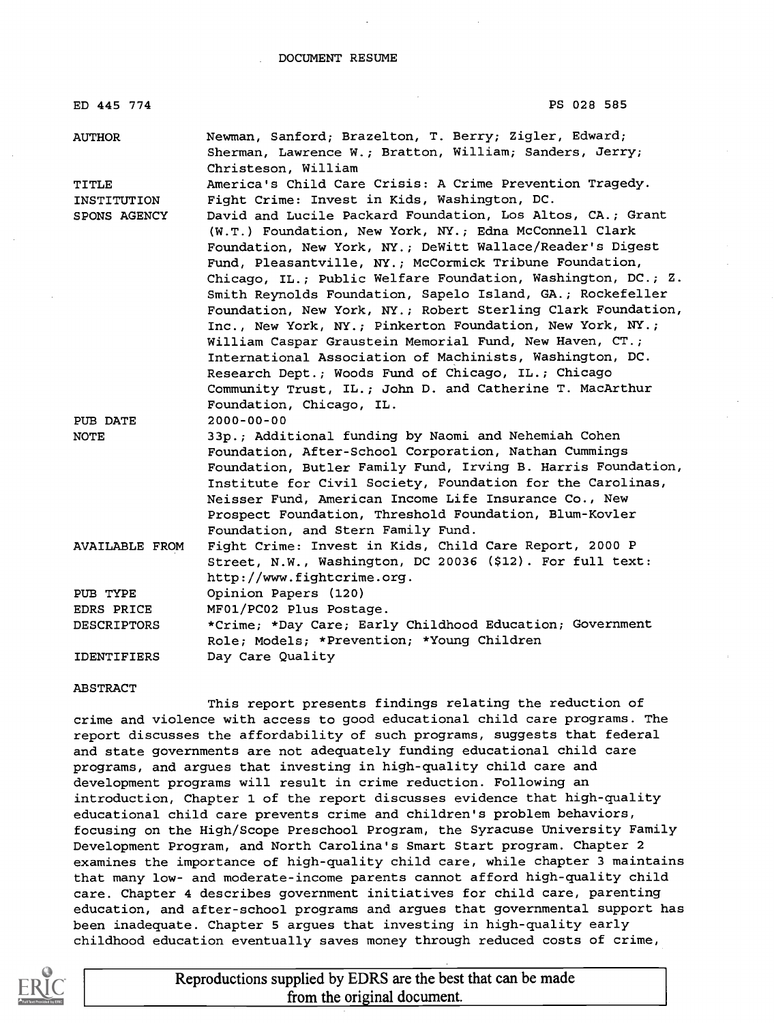#### DOCUMENT RESUME

| ED 445 774                                   | PS 028 585                                                                                                                                                                                                                                                                                                                                                                                                                                                                                                                                                                                                                                                                                                                                                                                                                                                                                |
|----------------------------------------------|-------------------------------------------------------------------------------------------------------------------------------------------------------------------------------------------------------------------------------------------------------------------------------------------------------------------------------------------------------------------------------------------------------------------------------------------------------------------------------------------------------------------------------------------------------------------------------------------------------------------------------------------------------------------------------------------------------------------------------------------------------------------------------------------------------------------------------------------------------------------------------------------|
| <b>AUTHOR</b>                                | Newman, Sanford; Brazelton, T. Berry; Zigler, Edward;<br>Sherman, Lawrence W.; Bratton, William; Sanders, Jerry;<br>Christeson, William                                                                                                                                                                                                                                                                                                                                                                                                                                                                                                                                                                                                                                                                                                                                                   |
| TITLE<br>INSTITUTION<br>SPONS AGENCY         | America's Child Care Crisis: A Crime Prevention Tragedy.<br>Fight Crime: Invest in Kids, Washington, DC.<br>David and Lucile Packard Foundation, Los Altos, CA.; Grant<br>(W.T.) Foundation, New York, NY.; Edna McConnell Clark<br>Foundation, New York, NY.; DeWitt Wallace/Reader's Digest<br>Fund, Pleasantville, NY.; McCormick Tribune Foundation,<br>Chicago, IL.; Public Welfare Foundation, Washington, DC.; Z.<br>Smith Reynolds Foundation, Sapelo Island, GA.; Rockefeller<br>Foundation, New York, NY.; Robert Sterling Clark Foundation,<br>Inc., New York, NY.; Pinkerton Foundation, New York, NY.;<br>William Caspar Graustein Memorial Fund, New Haven, CT.;<br>International Association of Machinists, Washington, DC.<br>Research Dept.; Woods Fund of Chicago, IL.; Chicago<br>Community Trust, IL.; John D. and Catherine T. MacArthur<br>Foundation, Chicago, IL. |
| PUB DATE<br>NOTE                             | $2000 - 00 - 00$<br>33p.; Additional funding by Naomi and Nehemiah Cohen<br>Foundation, After-School Corporation, Nathan Cummings<br>Foundation, Butler Family Fund, Irving B. Harris Foundation,<br>Institute for Civil Society, Foundation for the Carolinas,<br>Neisser Fund, American Income Life Insurance Co., New<br>Prospect Foundation, Threshold Foundation, Blum-Kovler<br>Foundation, and Stern Family Fund.                                                                                                                                                                                                                                                                                                                                                                                                                                                                  |
| <b>AVAILABLE FROM</b>                        | Fight Crime: Invest in Kids, Child Care Report, 2000 P<br>Street, N.W., Washington, DC 20036 (\$12). For full text:<br>http://www.fightcrime.org.                                                                                                                                                                                                                                                                                                                                                                                                                                                                                                                                                                                                                                                                                                                                         |
| PUB TYPE<br>EDRS PRICE<br><b>DESCRIPTORS</b> | Opinion Papers (120)<br>MF01/PC02 Plus Postage.<br>*Crime; *Day Care; Early Childhood Education; Government<br>Role; Models; *Prevention; *Young Children                                                                                                                                                                                                                                                                                                                                                                                                                                                                                                                                                                                                                                                                                                                                 |
| <b>IDENTIFIERS</b>                           | Day Care Quality                                                                                                                                                                                                                                                                                                                                                                                                                                                                                                                                                                                                                                                                                                                                                                                                                                                                          |

#### ABSTRACT

This report presents findings relating the reduction of crime and violence with access to good educational child care programs. The report discusses the affordability of such programs, suggests that federal and state governments are not adequately funding educational child care programs, and argues that investing in high-quality child care and development programs will result in crime reduction. Following an introduction, Chapter 1 of the report discusses evidence that high-quality educational child care prevents crime and children's problem behaviors, focusing on the High/Scope Preschool Program, the Syracuse University Family Development Program, and North Carolina's Smart Start program. Chapter 2 examines the importance of high-quality child care, while chapter 3 maintains that many low- and moderate-income parents cannot afford high-quality child care. Chapter 4 describes government initiatives for child care, parenting education, and after-school programs and argues that governmental support has been inadequate. Chapter 5 argues that investing in high-quality early childhood education eventually saves money through reduced costs of crime,



Reproductions supplied by EDRS are the best that can be made from the original document.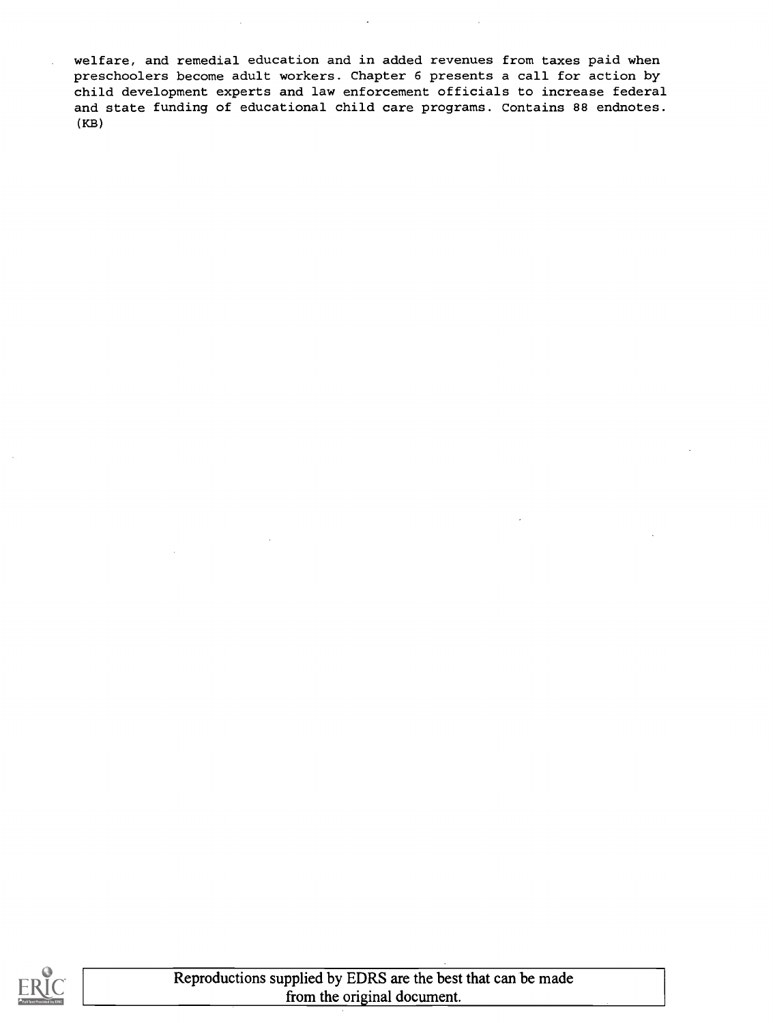welfare, and remedial education and in added revenues from taxes paid when preschoolers become adult workers. Chapter 6 presents a call for action by child development experts and law enforcement officials to increase federal and state funding of educational child care programs. Contains 88 endnotes. (KB)



Reproductions supplied by EDRS are the best that can be made from the original document.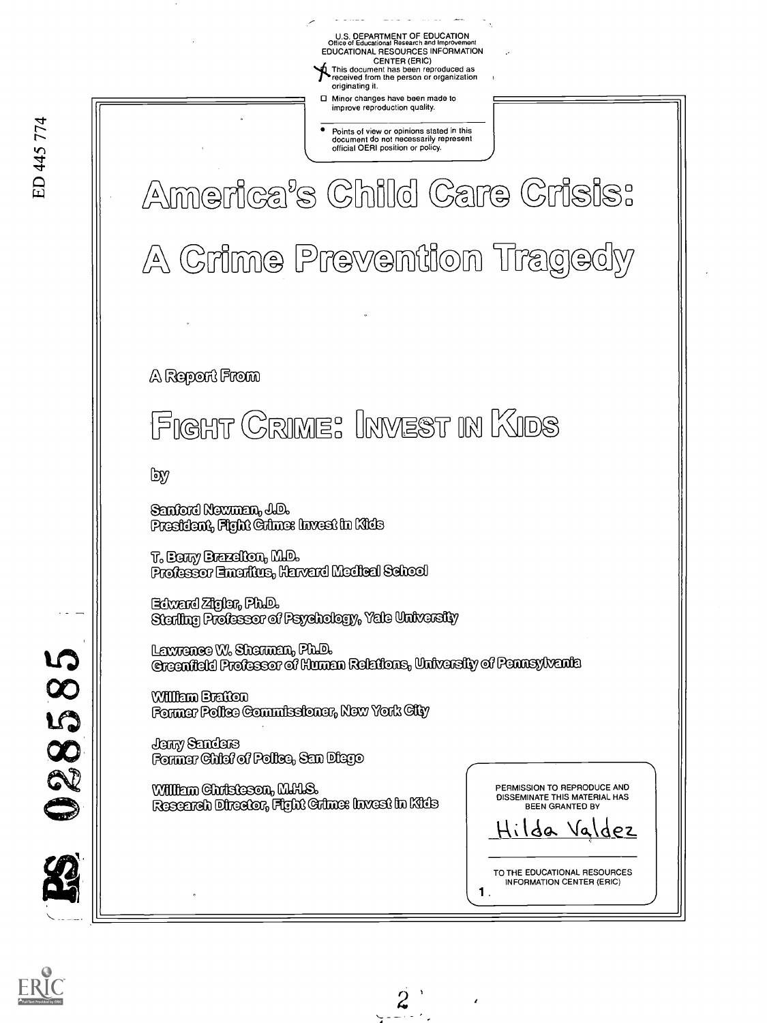ED 445 774

U.S. DEPARTMENT OF EDUCATION Office of Educational Research and Improvement EDUCATIONAL RESOURCES INFORMATION CENTER (ERIC) **Q** This document has been reproduced as<br> **C**received from the person or organization<br>
originating it. Minor changes have been made to improve reproduction quality. Points of view or opinions stated in this document do not necessarily represent official OERI position or policy. America's Child Care Crisis:  $\parallel$  $\operatorname{\mathbb{C}{\it r}}$ ime Prevention Tragedy  $\|\hspace{-.9cm}\|$ A Report From |FIGHT (GRIME: INVEST IN KIDS || িয় Sanford Newman, J.D. President, Fight Crimes Invest in Kids T. Eeny Brazdlon, M.D. Professor ARoatiloo Harvard Medical School Edward Zig ler Ph.D. Sterling Professor Psychology Vcib Mitcuav Lawrence W. Sherman, Ph.D. Creanfield Professor of Human Relations, University of Pennsylvania  $\infty$   $\parallel$   $\sim$   $\sim$   $\sim$ William Bratton Former Police Commissioner, New York City cricuov Sanders Former Chief of Police, San Diego  $\alpha$   $\mathbb{C}$   $\mathbb{C}$   $\mathbb{C}$   $\mathbb{C}$ PERMISSION TO REPRODUCE AND William Christeson, M.H.S.<br>Research Director, Fight Crime: Invest in Kits DISSEMINATE THIS MATERIAL HAS BEEN GRANTED BY Hilda Valdez TO THE EDUCATIONAL RESOURCES INFORMATION CENTER (ERIC)1.

 $\boldsymbol{2}$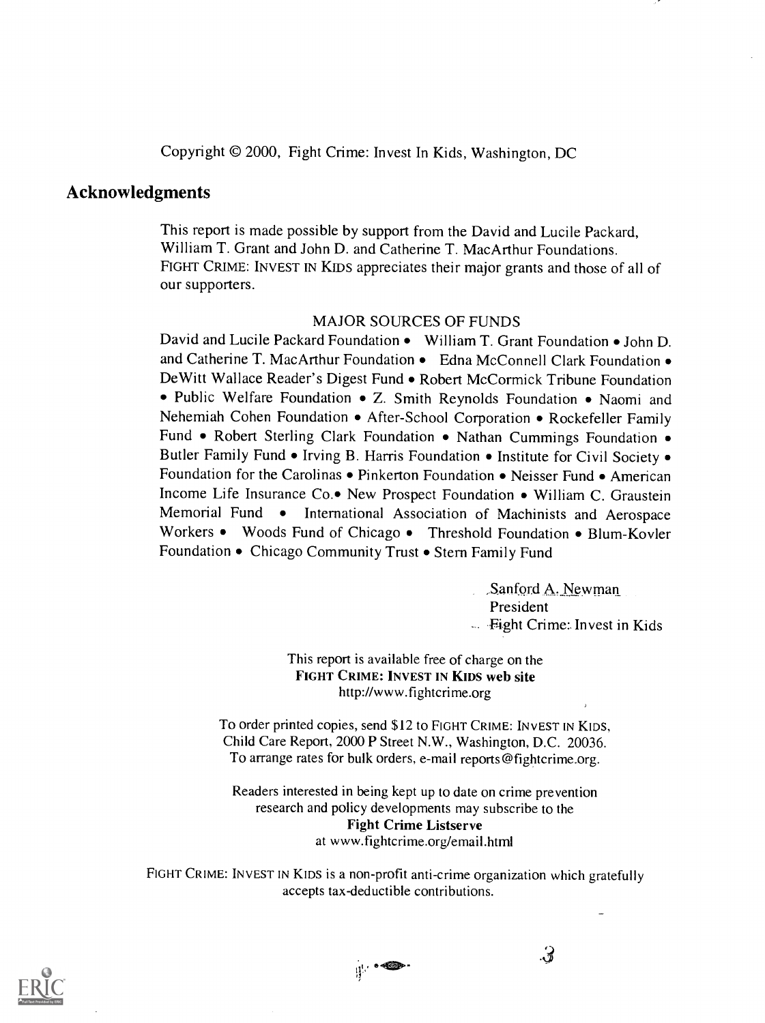Copyright © 2000, Fight Crime: Invest In Kids, Washington, DC

#### Acknowledgments

This report is made possible by support from the David and Lucile Packard, William T. Grant and John D. and Catherine T. MacArthur Foundations. FIGHT CRIME: INVEST IN KIDS appreciates their major grants and those of all of our supporters.

#### MAJOR SOURCES OF FUNDS

David and Lucile Packard Foundation  $\bullet$  William T. Grant Foundation  $\bullet$  John D. and Catherine T. MacArthur Foundation  $\bullet$  Edna McConnell Clark Foundation  $\bullet$ DeWitt Wallace Reader's Digest Fund • Robert McCormick Tribune Foundation • Public Welfare Foundation • Z. Smith Reynolds Foundation • Naomi and Nehemiah Cohen Foundation • After-School Corporation • Rockefeller Family Fund • Robert Sterling Clark Foundation • Nathan Cummings Foundation • Butler Family Fund • Irving B. Harris Foundation • Institute for Civil Society • Foundation for the Carolinas  $\bullet$  Pinkerton Foundation  $\bullet$  Neisser Fund  $\bullet$  American Income Life Insurance Co. • New Prospect Foundation • William C. Graustein Memorial Fund • International Association of Machinists and Aerospace Workers • Woods Fund of Chicago • Threshold Foundation • Blum-Kovler Foundation • Chicago Community Trust • Stern Family Fund

> Sanford A. Newman President  $\overline{-}$  Fight Crime: Invest in Kids

This report is available free of charge on the FIGHT CRIME: INVEST IN KIDS web site http://www.fightcrime.org

To order printed copies, send \$12 to FIGHT CRIME: INVEST IN KIDS, Child Care Report, 2000 P Street N.W., Washington, D.C. 20036. To arrange rates for bulk orders, e-mail reports@fightcrime.org.

Readers interested in being kept up to date on crime prevention research and policy developments may subscribe to the Fight Crime Listserve at www.fightcrime.org/email.html

FIGHT CRIME: INVEST IN KIDS is a non-profit anti-crime organization which gratefully accepts tax-deductible contributions.



 $\mathbb{R}^n$ 

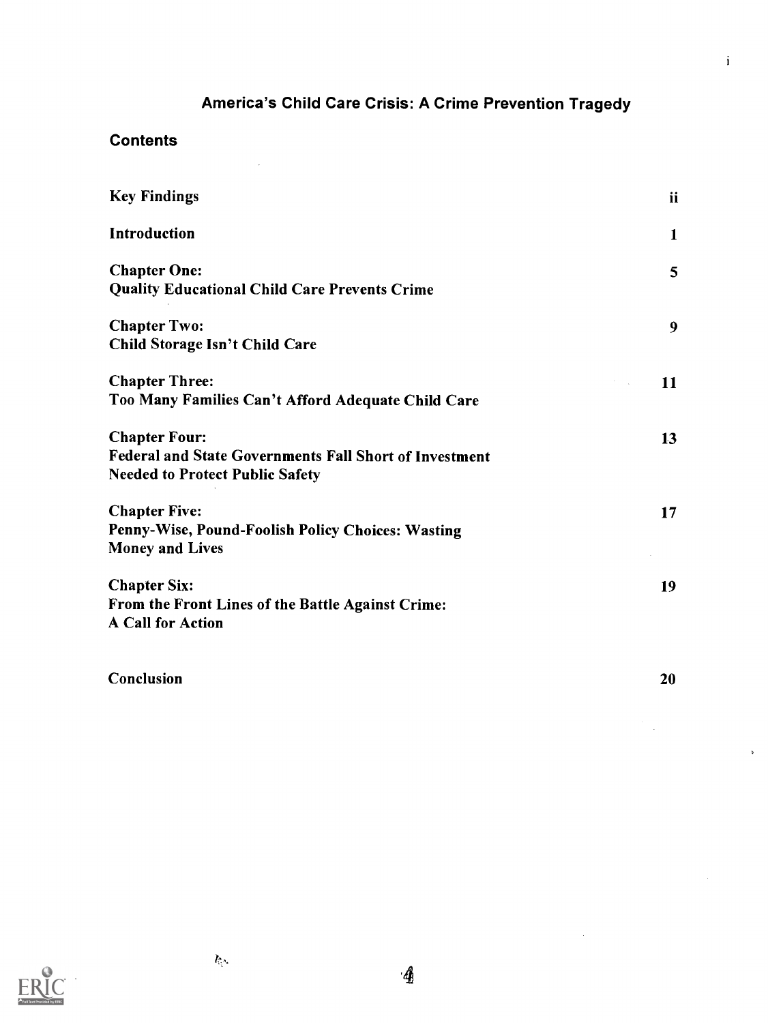## America's Child Care Crisis: A Crime Prevention Tragedy

 $\hat{\mathbf{I}}$ 

 $\mathcal{L}_{\mathcal{L}}$ 

 $\bar{\rm b}$ 

#### **Contents**

 $\mathcal{A}^{\mathcal{A}}$ 

| <b>Key Findings</b>                                                                                                             | ii |  |
|---------------------------------------------------------------------------------------------------------------------------------|----|--|
| Introduction                                                                                                                    | 1  |  |
| <b>Chapter One:</b><br><b>Quality Educational Child Care Prevents Crime</b>                                                     | 5  |  |
| <b>Chapter Two:</b><br>Child Storage Isn't Child Care                                                                           | 9  |  |
| <b>Chapter Three:</b><br>Too Many Families Can't Afford Adequate Child Care                                                     | 11 |  |
| <b>Chapter Four:</b><br><b>Federal and State Governments Fall Short of Investment</b><br><b>Needed to Protect Public Safety</b> | 13 |  |
| <b>Chapter Five:</b><br>Penny-Wise, Pound-Foolish Policy Choices: Wasting<br><b>Money and Lives</b>                             | 17 |  |
| <b>Chapter Six:</b><br>From the Front Lines of the Battle Against Crime:<br><b>A Call for Action</b>                            | 19 |  |
| Conclusion                                                                                                                      | 20 |  |

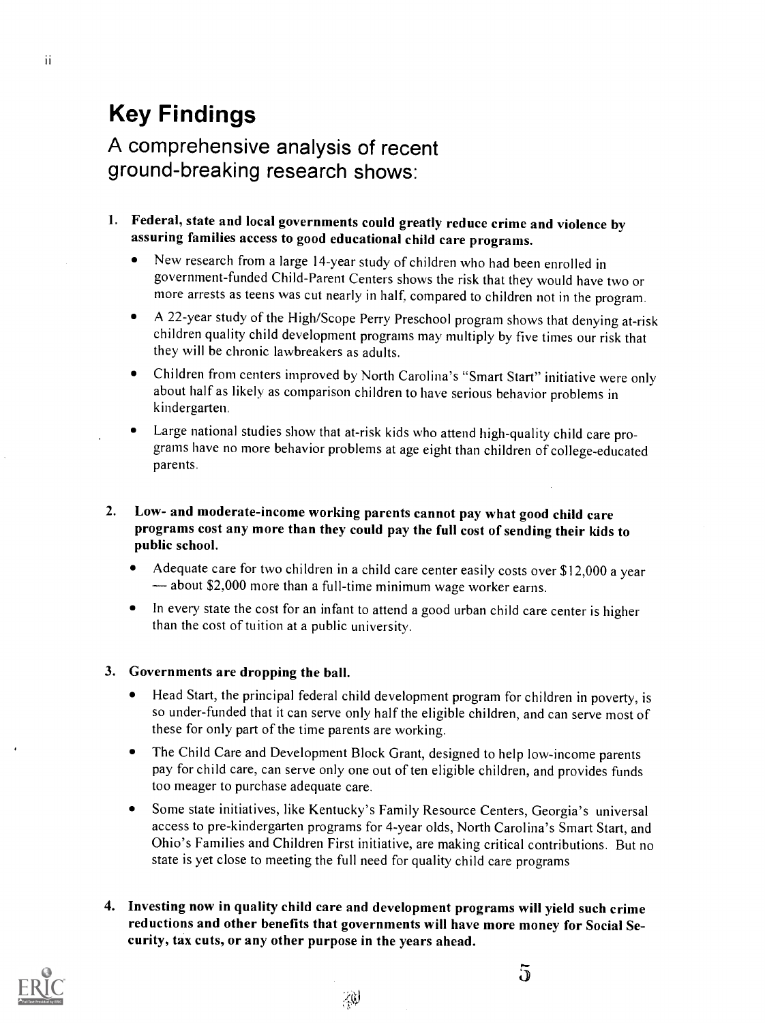## Key Findings

A comprehensive analysis of recent ground-breaking research shows:

1. Federal, state and local governments could greatly reduce crime and violence by assuring families access to good educational child care programs.

- New research from a large 14-year study of children who had been enrolled in government-funded Child-Parent Centers shows the risk that they would have two or more arrests as teens was cut nearly in half, compared to children not in the program.
- $\bullet$ A 22-year study of the High/Scope Perry Preschool program shows that denying at-risk children quality child development programs may multiply by five times our risk that they will be chronic lawbreakers as adults.
- Children from centers improved by North Carolina's "Smart Start" initiative were only  $\bullet$ about half as likely as comparison children to have serious behavior problems in kindergarten.
- Large national studies show that at-risk kids who attend high-quality child care pro- $\bullet$ grams have no more behavior problems at age eight than children of college-educated parents.
- 2. Low- and moderate-income working parents cannot pay what good child care programs cost any more than they could pay the full cost of sending their kids to public school.
	- Adequate care for two children in a child care center easily costs over \$12,000 a year about \$2,000 more than a full-time minimum wage worker earns.
	- $\bullet$ In every state the cost for an infant to attend a good urban child care center is higher than the cost of tuition at a public university.

#### 3. Governments are dropping the ball.

- $\bullet$ Head Start, the principal federal child development program for children in poverty, is so under-funded that it can serve only half the eligible children, and can serve most of these for only part of the time parents are working.
- The Child Care and Development Block Grant, designed to help low-income parents  $\bullet$ pay for child care, can serve only one out of ten eligible children, and provides funds too meager to purchase adequate care.
- Some state initiatives, like Kentucky's Family Resource Centers, Georgia's universal access to pre-kindergarten programs for 4-year olds, North Carolina's Smart Start, and Ohio's Families and Children First initiative, are making critical contributions. But no state is yet close to meeting the full need for quality child care programs
- 4. Investing now in quality child care and development programs will yield such crime reductions and other benefits that governments will have more money for Social Security, tax cuts, or any other purpose in the years ahead.



ji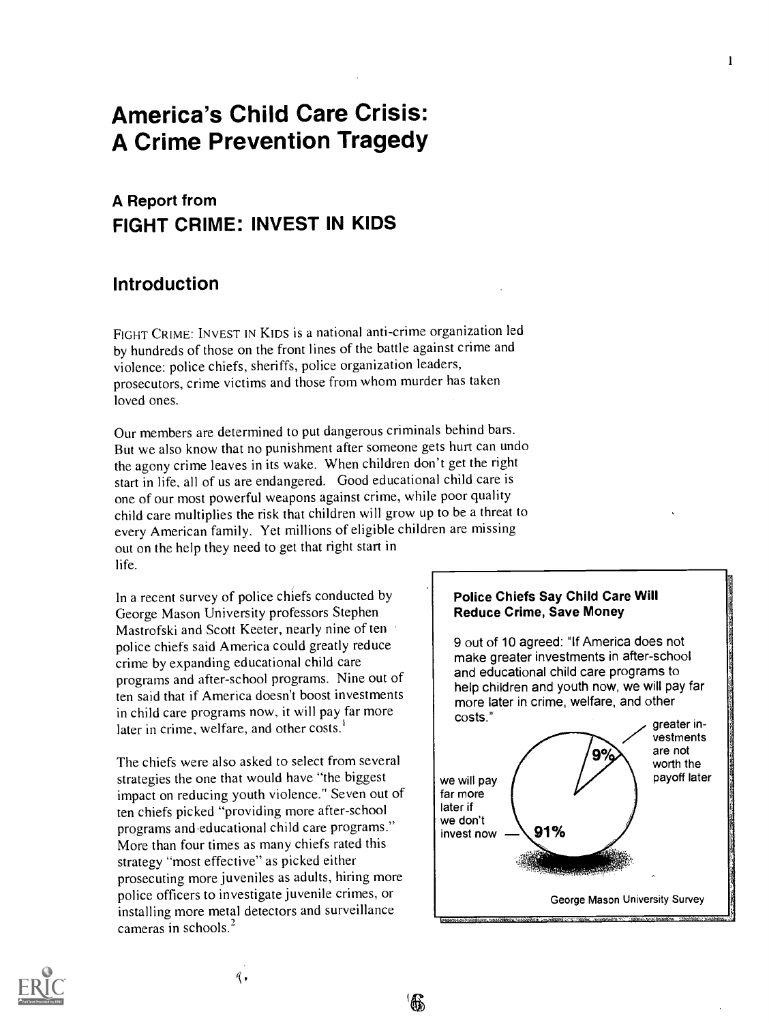## America's Child Care Crisis: A Crime Prevention Tragedy

### A Report from FIGHT CRIME: INVEST IN KIDS

#### Introduction

FIGHT CRIME: INVEST IN KIDS is a national anti-crime organization led by hundreds of those on the front lines of the battle against crime and violence: police chiefs, sheriffs, police organization leaders, prosecutors, crime victims and those from whom murder has taken loved ones.

Our members are determined to put dangerous criminals behind bars. But we also know that no punishment after someone gets hurt can undo the agony crime leaves in its wake. When children don't get the right start in life, all of us are endangered. Good educational child care is one of our most powerful weapons against crime, while poor quality child care multiplies the risk that children will grow up to be a threat to every American family. Yet millions of eligible children are missing out on the help they need to get that right start in life.

In a recent survey of police chiefs conducted by George Mason University professors Stephen Mastrofski and Scott Keeter, nearly nine of ten police chiefs said America could greatly reduce crime by expanding educational child care programs and after-school programs. Nine out of ten said that if America doesn't boost investments in child care programs now, it will pay far more later in crime, welfare, and other costs.'

The chiefs were also asked to select from several strategies the one that would have "the biggest impact on reducing youth violence." Seven out of ten chiefs picked "providing more after-school programs and.educational child care programs." More than four times as many chiefs rated this strategy "most effective" as picked either prosecuting more juveniles as adults, hiring more police officers to investigate juvenile crimes, or installing more metal detectors and surveillance cameras in schools.<sup>2</sup>

#### Police Chiefs Say Child Care Will Reduce Crime, Save Money

9 out of 10 agreed: "If America does not make greater investments in after-school and educational child care programs to help children and youth now, we will pay far more later in crime, welfare, and other costs."





٩.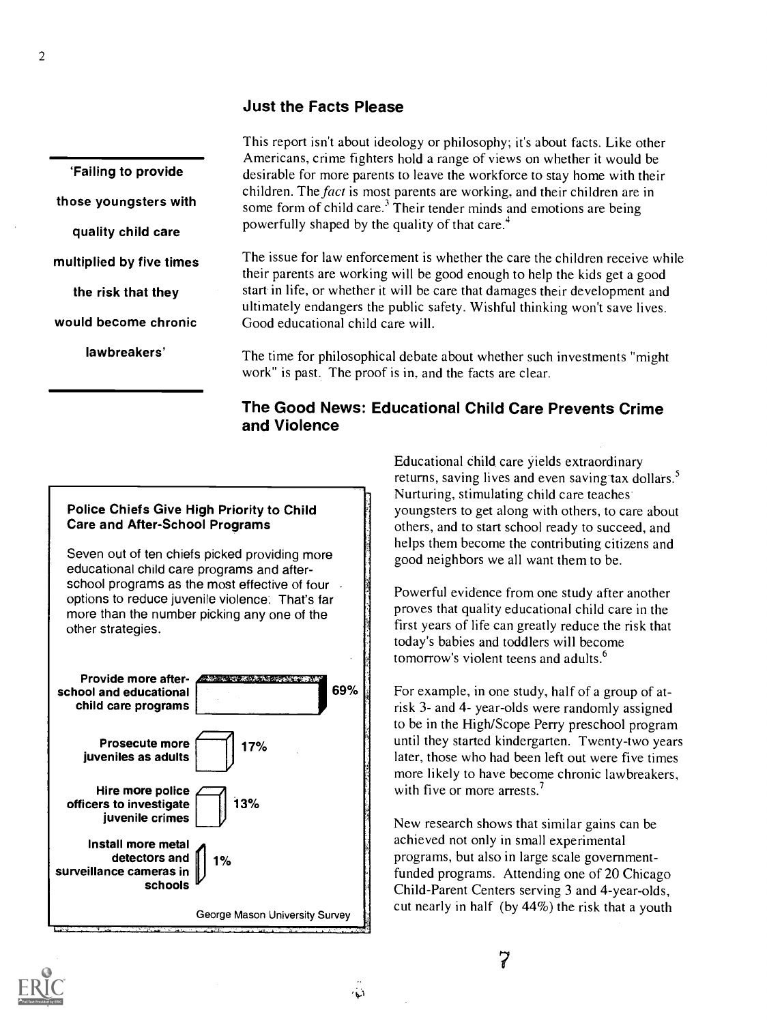#### Just the Facts Please

`Failing to provide

2

those youngsters with

quality child care

multiplied by five times

the risk that they

would become chronic

lawbreakers'

This report isn't about ideology or philosophy; it's about facts. Like other Americans, crime fighters hold a range of views on whether it would be desirable for more parents to leave the workforce to stay home with their children. The fact is most parents are working, and their children are in some form of child care.<sup>3</sup> Their tender minds and emotions are being powerfully shaped by the quality of that care.

The issue for law enforcement is whether the care the children receive while their parents are working will be good enough to help the kids get a good start in life, or whether it will be care that damages their development and ultimately endangers the public safety. Wishful thinking won't save lives. Good educational child care will.

The time for philosophical debate about whether such investments "might work" is past. The proof is in, and the facts are clear.

#### The Good News: Educational Child Care Prevents Crime and Violence

#### Police Chiefs Give High Priority to Child Care and After-School Programs

Seven out of ten chiefs picked providing more educational child care programs and afterschool programs as the most effective of four  $\overline{a}$ . options to reduce juvenile violence. That's far more than the number picking any one of the other strategies.



Educational child care yields extraordinary returns, saving lives and even saving tax dollars.<sup>5</sup> Nurturing, stimulating child care teaches youngsters to get along with others, to care about others, and to start school ready to succeed, and helps them become the contributing citizens and good neighbors we all want them to be.

Powerful evidence from one study after another proves that quality educational child care in the first years of life can greatly reduce the risk that today's babies and toddlers will become tomorrow's violent teens and adults.<sup>6</sup>

69% For example, in one study, half of a group of atrisk 3- and 4- year-olds were randomly assigned to be in the High/Scope Perry preschool program until they started kindergarten. Twenty-two years later, those who had been left out were five times more likely to have become chronic lawbreakers, with five or more arrests.<sup>7</sup>

> New research shows that similar gains can be achieved not only in small experimental programs, but also in large scale governmentfunded programs. Attending one of 20 Chicago Child-Parent Centers serving 3 and 4-year-olds, cut nearly in half (by 44%) the risk that a youth

> > 7

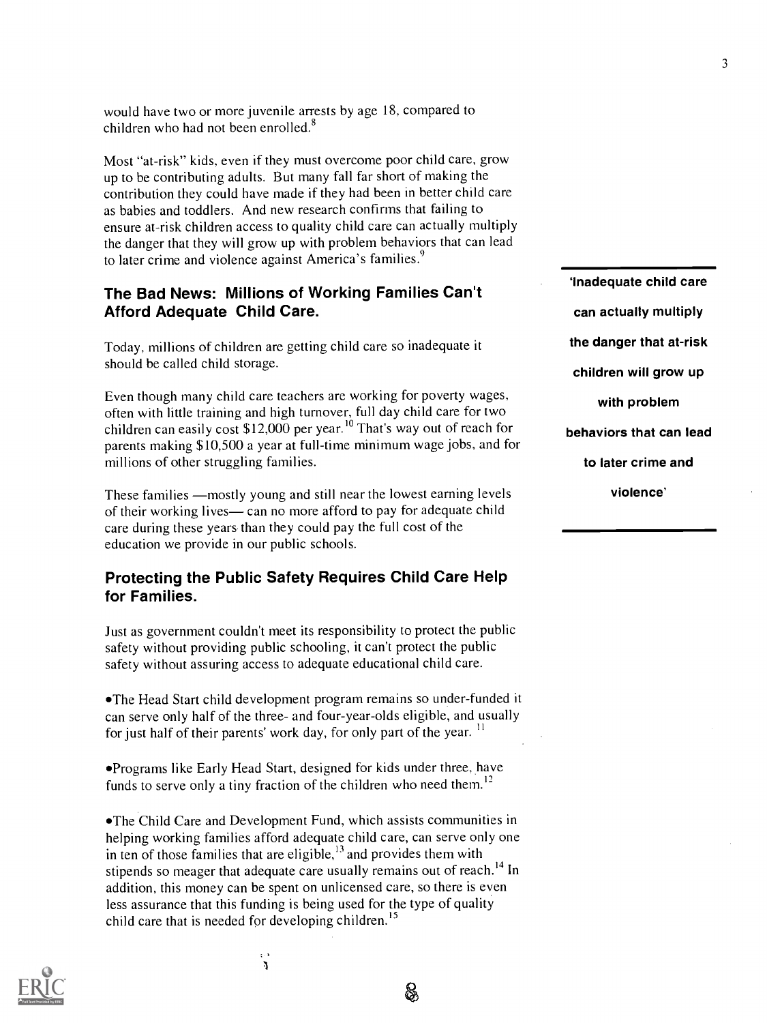would have two or more juvenile arrests by age 18, compared to children who had not been enrolled.<sup>8</sup>

Most "at-risk" kids, even if they must overcome poor child care, grow up to be contributing adults. But many fall far short of making the contribution they could have made if they had been in better child care as babies and toddlers. And new research confirms that failing to ensure at-risk children access to quality child care can actually multiply the danger that they will grow up with problem behaviors that can lead to later crime and violence against America's families.<sup>9</sup>

#### The Bad News: Millions of Working Families Can't Afford Adequate Child Care.

Today, millions of children are getting child care so inadequate it should be called child storage.

Even though many child care teachers are working for poverty wages, often with little training and high turnover, full day child care for two children can easily cost \$12,000 per year.<sup>10</sup> That's way out of reach for parents making \$10,500 a year at full-time minimum wage jobs, and for millions of other struggling families.

These families —mostly young and still near the lowest earning levels of their working lives— can no more afford to pay for adequate child care during these years than they could pay the full cost of the education we provide in our public schools.

#### Protecting the Public Safety Requires Child Care Help for Families.

Just as government couldn't meet its responsibility to protect the public safety without providing public schooling, it can't protect the public safety without assuring access to adequate educational child care.

The Head Start child development program remains so under-funded it can serve only half of the three- and four-year-olds eligible, and usually for just half of their parents' work day, for only part of the year. <sup>11</sup>

Programs like Early Head Start, designed for kids under three, have funds to serve only a tiny fraction of the children who need them.<sup>12</sup>

The Child Care and Development Fund, which assists communities in helping working families afford adequate child care, can serve only one in ten of those families that are eligible,  $13$  and provides them with stipends so meager that adequate care usually remains out of reach.<sup>14</sup> In addition, this money can be spent on unlicensed care, so there is even less assurance that this funding is being used for the type of quality child care that is needed for developing children.<sup>15</sup>

> $\mathfrak{g}$  . N

`Inadequate child care can actually multiply the danger that at-risk children will grow up with problem behaviors that can lead to later crime and violence'



3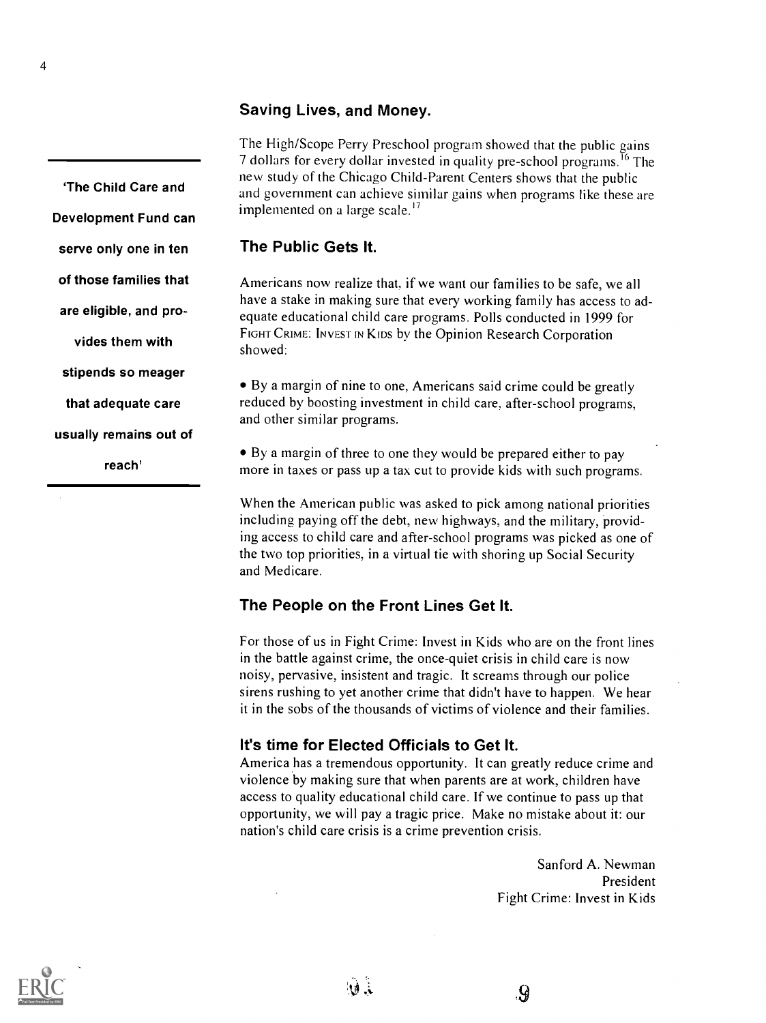#### Saving Lives, and Money.

The High/Scope Perry Preschool program showed that the public gains 7 dollars for every dollar invested in quality pre-school programs.<sup>16</sup> The new study of the Chicago Child-Parent Centers shows that the public and government can achieve similar gains when programs like these are implemented on a large scale.<sup>17</sup>

#### The Public Gets It.

Americans now realize that, if we want our families to be safe, we all have a stake in making sure that every working family has access to adequate educational child care programs. Polls conducted in 1999 for FIGHT CRIME: INVEST IN KIDS by the Opinion Research Corporation showed:

By a margin of nine to one, Americans said crime could be greatly reduced by boosting investment in child care, after-school programs, and other similar programs.

By a margin of three to one they would be prepared either to pay more in taxes or pass up a tax cut to provide kids with such programs.

When the American public was asked to pick among national priorities including paying off the debt, new highways, and the military, providing access to child care and after-school programs was picked as one of the two top priorities, in a virtual tie with shoring up Social Security and Medicare.

#### The People on the Front Lines Get It.

For those of us in Fight Crime: Invest in Kids who are on the front lines in the battle against crime, the once-quiet crisis in child care is now noisy, pervasive, insistent and tragic. It screams through our police sirens rushing to yet another crime that didn't have to happen. We hear it in the sobs of the thousands of victims of violence and their families.

#### It's time for Elected Officials to Get It.

America has a tremendous opportunity. It can greatly reduce crime and violence by making sure that when parents are at work, children have access to quality educational child care. If we continue to pass up that opportunity, we will pay a tragic price. Make no mistake about it: our nation's child care crisis is a crime prevention crisis.

> Sanford A. Newman President Fight Crime: Invest in Kids

> > .9



reach'

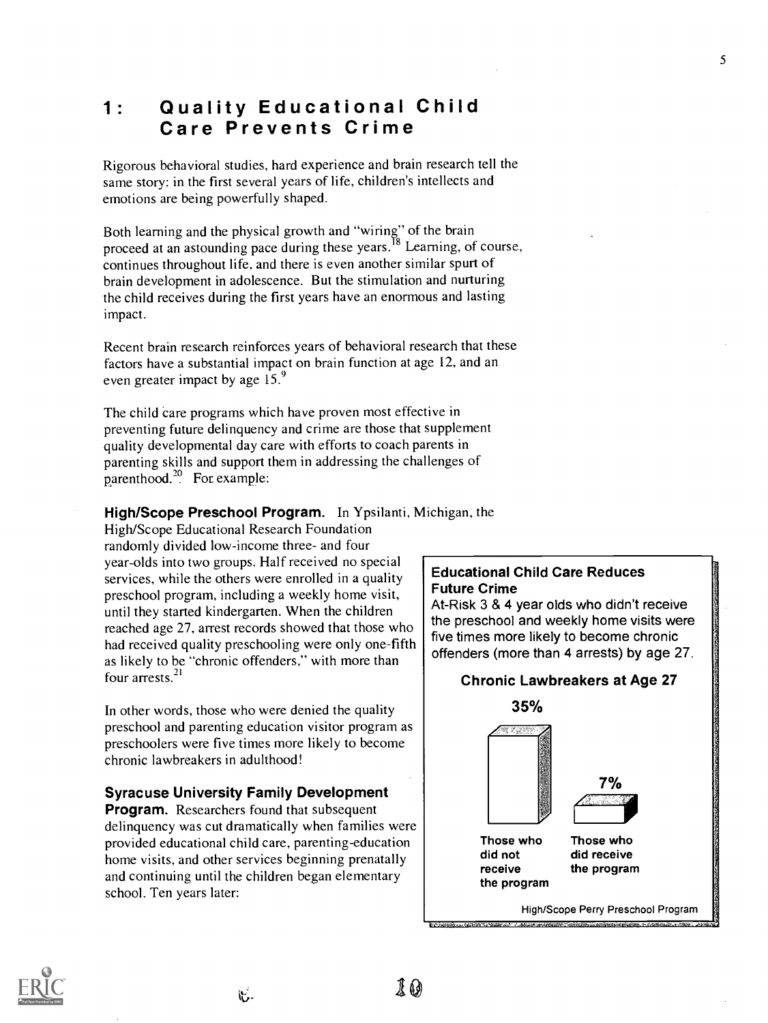## <sup>1</sup> Quality Educational Child Care Prevents Crime

Rigorous behavioral studies, hard experience and brain research tell the same story: in the first several years of life, children's intellects and emotions are being powerfully shaped.

Both learning and the physical growth and "wiring" of the brain proceed at an astounding pace during these years.<sup>16</sup> Learning, of course, continues throughout life, and there is even another similar spurt of brain development in adolescence. But the stimulation and nurturing the child receives during the first years have an enormous and lasting impact.

Recent brain research reinforces years of behavioral research that these factors have a substantial impact on brain function at age 12, and an even greater impact by age 15.<sup>9</sup>

The child care programs which have proven most effective in preventing future delinquency and crime are those that supplement quality developmental day care with efforts to coach parents in parenting skills and support them in addressing the challenges of parenthood.<sup>20</sup> For example:

#### High/Scope Preschool Program. In Ypsilanti, Michigan, the

High/Scope Educational Research Foundation randomly divided low-income three- and four year-olds into two groups. Half received no special services, while the others were enrolled in a quality preschool program, including a weekly home visit, until they started kindergarten. When the children reached age 27, arrest records showed that those who had received quality preschooling were only one-fifth as likely to be "chronic offenders," with more than four arrests. $^{21}$ 

In other words, those who were denied the quality preschool and parenting education visitor program as preschoolers were five times more likely to become chronic lawbreakers in adulthood!

#### Syracuse University Family Development

**Program.** Researchers found that subsequent delinquency was cut dramatically when families were provided educational child care, parenting-education home visits, and other services beginning prenatally and continuing until the children began elementary school. Ten years later:

#### Educational Child Care Reduces Future Crime

At-Risk 3 & 4 year olds who didn't receive the preschool and weekly home visits were five times more likely to become chronic offenders (more than 4 arrests) by age 27.

## Chronic Lawbreakers at Age 27



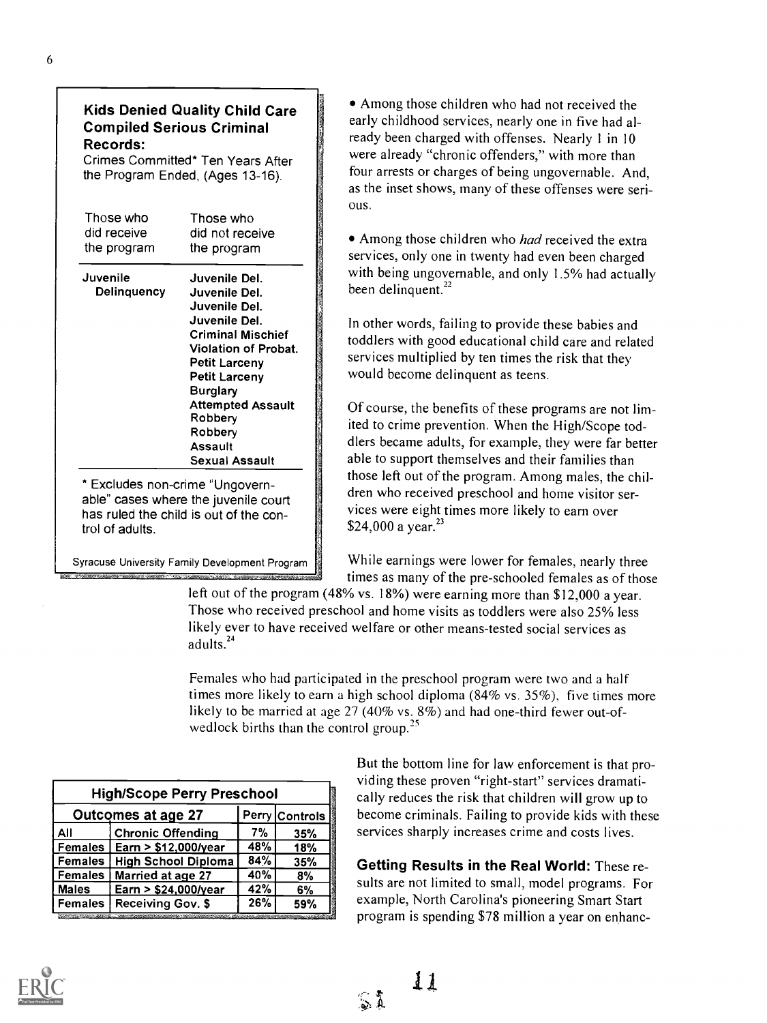| <b>Kids Denied Quality Child Care</b> |                      | $\bullet$ Ar |
|---------------------------------------|----------------------|--------------|
| <b>Compiled Serious Criminal</b>      | <b>Communication</b> | early        |
| Records:                              |                      | read         |
|                                       |                      |              |

Crimes Committed\* Ten Years After the Program Ended, (Ages 13 -16).

| Those who<br>did receive<br>the program | Those who<br>did not receive<br>the program                                                                                                                                                                                                                            | v.<br>Se                                               |
|-----------------------------------------|------------------------------------------------------------------------------------------------------------------------------------------------------------------------------------------------------------------------------------------------------------------------|--------------------------------------------------------|
| Juvenile<br>Delinquency                 | Juvenile Del.<br>Juvenile Del.<br>Juvenile Del.<br>Juvenile Del.<br><b>Criminal Mischief</b><br><b>Violation of Probat.</b><br>Petit Larceny<br><b>Petit Larceny</b><br><b>Burglary</b><br><b>Attempted Assault</b><br>Robberv<br>Robbery<br>Assault<br>Sexual Assault | W<br>bι<br>In<br>to<br>se<br>W<br>O<br>ito<br>dl<br>ał |
|                                         | .                                                                                                                                                                                                                                                                      | th                                                     |

\* Excludes non-crime "Ungovernable" cases where the juvenile court has ruled the child is out of the control of adults.

Syracuse University Family Development Program

Among those children who had not received the early childhood services, nearly one in five had already been charged with offenses. Nearly 1 in 10 were already "chronic offenders," with more than four arrests or charges of being ungovernable. And, as the inset shows, many of these offenses were serious.

• Among those children who *had* received the extra services, only one in twenty had even been charged with being ungovernable, and only 1.5% had actually been delinquent.<sup>22</sup>

In other words, failing to provide these babies and toddlers with good educational child care and related services multiplied by ten times the risk that they would become delinquent as teens.

Of course, the benefits of these programs are not limited to crime prevention. When the High/Scope toddlers became adults, for example, they were far better able to support themselves and their families than those left out of the program. Among males, the children who received preschool and home visitor services were eight times more likely to earn over \$24,000 a year. $^{23}$ 

While earnings were lower for females, nearly three times as many of the pre-schooled females as of those

left out of the program (48% vs. 18%) were earning more than \$12,000 a year. Those who received preschool and home visits as toddlers were also 25% less likely ever to have received welfare or other means-tested social services as adults.<sup>24</sup>

Females who had participated in the preschool program were two and a half times more likely to earn a high school diploma (84% vs. 35%), five times more likely to be married at age 27 (40% vs. 8%) and had one-third fewer out-ofwedlock births than the control group.<sup>25</sup>

 $\bf{11}$ 

|                                   |                                |       |                  | viding these proven "right-start" services dramati-                                                              |
|-----------------------------------|--------------------------------|-------|------------------|------------------------------------------------------------------------------------------------------------------|
| <b>High/Scope Perry Preschool</b> |                                |       |                  | cally reduces the risk that children will grow up to                                                             |
| Outcomes at age 27                |                                |       | , Perry Controls | become criminals. Failing to provide kids with the                                                               |
| All                               | <b>Chronic Offending</b>       | 7%    | 35%              | services sharply increases crime and costs lives.                                                                |
|                                   | Females   Earn > \$12,000/year | 48% l | 18%              |                                                                                                                  |
| Females                           | <b>High School Diploma</b>     | 84%   | 35%              | Getting Results in the Real World: These re-                                                                     |
| Females                           | Married at age 27              | 40% l | 8%               |                                                                                                                  |
| <b>Males</b>                      | Earn > \$24,000/year           | 42%   | 6%               | sults are not limited to small, model programs. Fo                                                               |
| Females                           | <b>Receiving Gov. \$</b>       | 26%   | 59%              | example, North Carolina's pioneering Smart Start<br>$m_{\rm FQCD}$ is exampling $0.70$ million a span and subset |

All **Chronic Offending** 7% 35% services sharply increases crime and costs lives. But the bottom line for law enforcement is that providing these proven "right-start" services dramatically reduces the risk that children will grow up to become criminals. Failing to provide kids with these

> sults are not limited to small, model programs. For example, North Carolina's pioneering Smart Start program is spending \$78 million a year on enhanc-

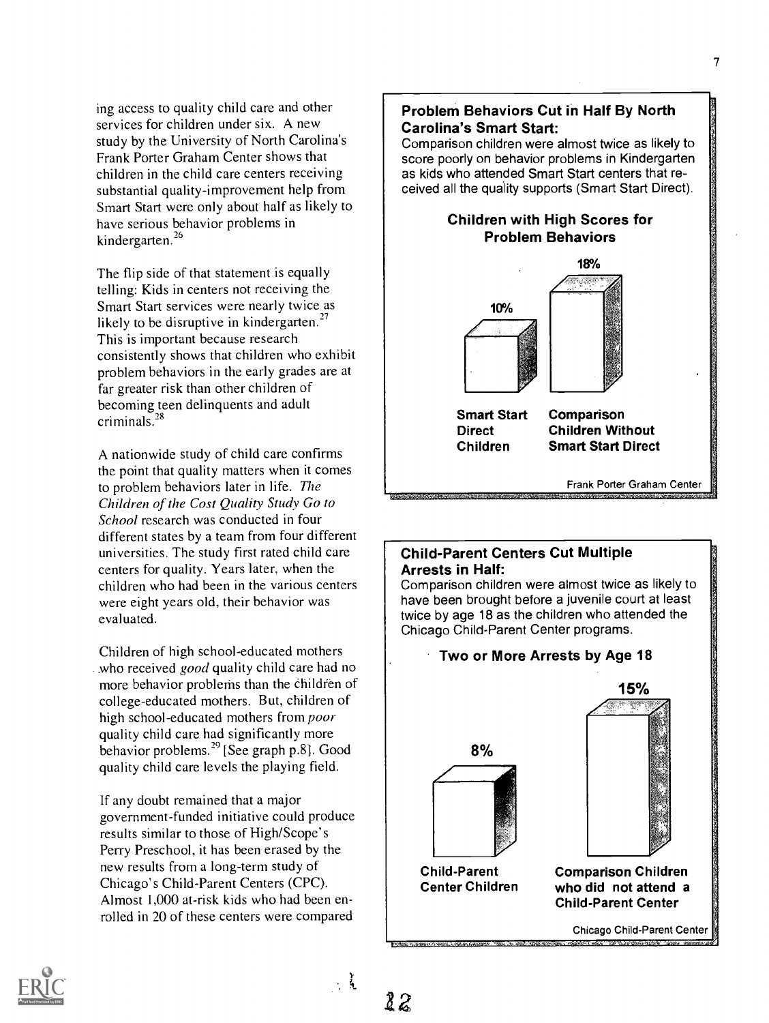ing access to quality child care and other services for children under six. A new study by the University of North Carolina's Frank Porter Graham Center shows that children in the child care centers receiving substantial quality-improvement help from Smart Start were only about half as likely to have serious behavior problems in kindergarten.<sup>26</sup>

The flip side of that statement is equally telling: Kids in centers not receiving the Smart Start services were nearly twice as likely to be disruptive in kindergarten. $27$ This is important because research consistently shows that children who exhibit problem behaviors in the early grades are at far greater risk than other children of becoming teen delinquents and adult criminals.28

A nationwide study of child care confirms the point that quality matters when it comes to problem behaviors later in life. The Children of the Cost Quality Study Go to School research was conducted in four different states by a team from four different universities. The study first rated child care centers for quality. Years later, when the children who had been in the various centers were eight years old, their behavior was evaluated.

Children of high school-educated mothers who received *good* quality child care had no more behavior problems than the children of college-educated mothers. But, children of high school-educated mothers from poor quality child care had significantly more behavior problems.<sup>29</sup> [See graph p.8]. Good quality child care levels the playing field.

If any doubt remained that a major government-funded initiative could produce results similar to those of High/Scope's Perry Preschool, it has been erased by the new results from a long-term study of Chicago's Child-Parent Centers (CPC). Almost 1,000 at-risk kids who had been enrolled in 20 of these centers were compared

.1Z

 $\mathcal{L}_{\mathcal{A}}$ 

#### Problem Behaviors Cut in Half By North Carolina's Smart Start:

Comparison children were almost twice as likely to score poorly on behavior problems in Kindergarten as kids who attended Smart Start centers that received all the quality supports (Smart Start Direct).



#### Child-Parent Centers Cut Multiple Arrests in Half:

Comparison children were almost twice as likely to have been brought before a juvenile court at least twice by age 18 as the children who attended the Chicago Child-Parent Center programs.



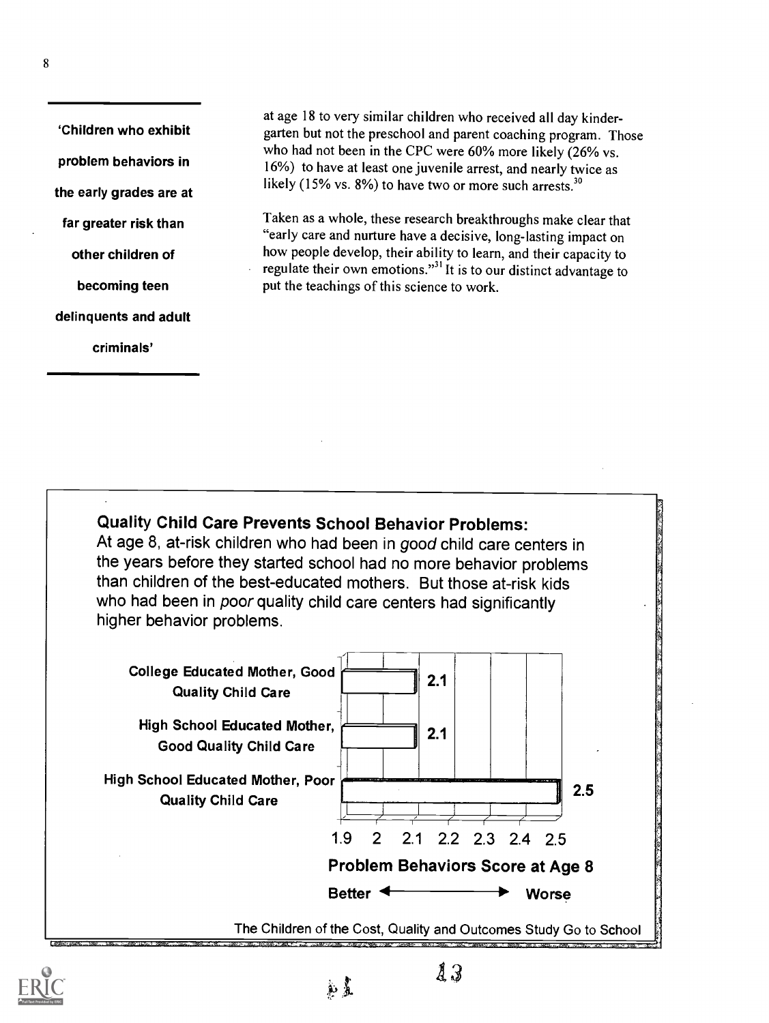`Children who exhibit problem behaviors in the early grades are at far greater risk than other children of

becoming teen

delinquents and adult

criminals'

at age 18 to very similar children who received all day kindergarten but not the preschool and parent coaching program. Those who had not been in the CPC were 60% more likely (26% vs. 16%) to have at least one juvenile arrest, and nearly twice as likely (15% vs.  $8\%$ ) to have two or more such arrests.<sup>30</sup>

Taken as a whole, these research breakthroughs make clear that "early care and nurture have a decisive, long-lasting impact on how people develop, their ability to learn, and their capacity to regulate their own emotions."<sup>31</sup> It is to our distinct advantage to put the teachings of this science to work.

Quality Child Care Prevents School Behavior Problems: At age 8, at-risk children who had been in good child care centers in the years before they started school had no more behavior problems than children of the best-educated mothers. But those at-risk kids who had been in poor quality child care centers had significantly higher behavior problems.





 $\lambda$   $3$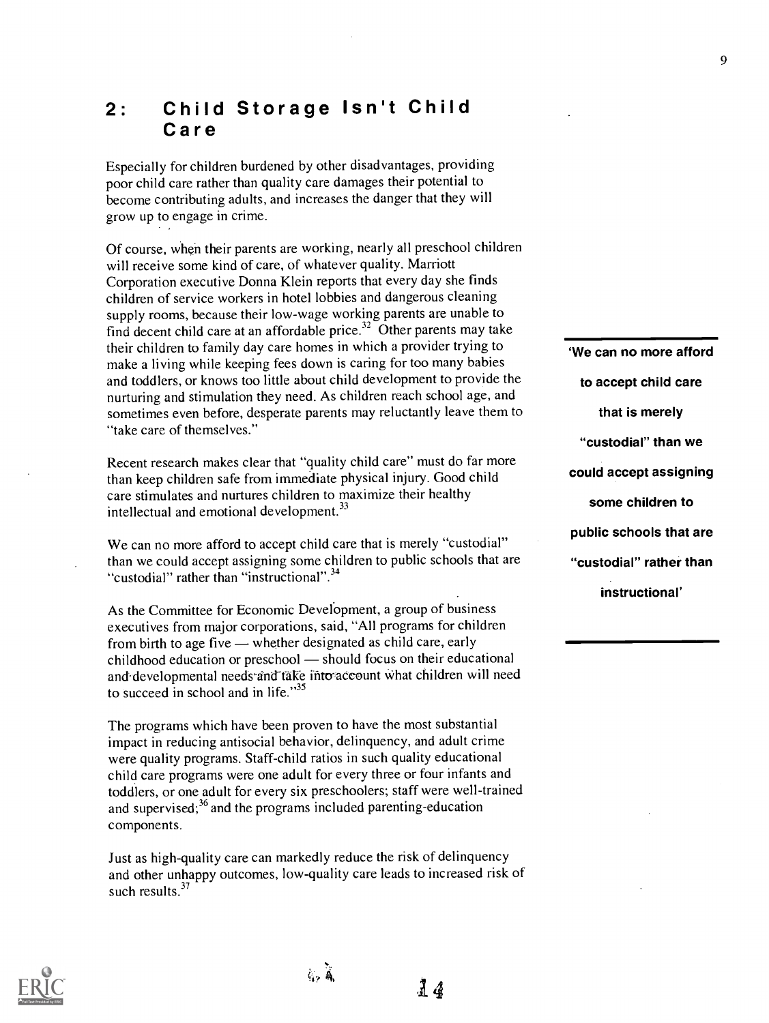## 2: Child Storage Isn't Child<br>Care

Especially for children burdened by other disadvantages, providing poor child care rather than quality care damages their potential to become contributing adults, and increases the danger that they will grow up to engage in crime.

Of course, when their parents are working, nearly all preschool children will receive some kind of care, of whatever quality. Marriott Corporation executive Donna Klein reports that every day she finds children of service workers in hotel lobbies and dangerous cleaning supply rooms, because their low-wage working parents are unable to find decent child care at an affordable price.<sup>32</sup> Other parents may take their children to family day care homes in which a provider trying to make a living while keeping fees down is caring for too many babies and toddlers, or knows too little about child development to provide the nurturing and stimulation they need. As children reach school age, and sometimes even before, desperate parents may reluctantly leave them to "take care of themselves."

Recent research makes clear that "quality child care" must do far more than keep children safe from immediate physical injury. Good child care stimulates and nurtures children to maximize their healthy intellectual and emotional development.<sup>33</sup>

We can no more afford to accept child care that is merely "custodial" than we could accept assigning some children to public schools that are "custodial" rather than "instructional".<sup>34</sup>

As the Committee for Economic Development, a group of business executives from major corporations, said, "All programs for children from birth to age five — whether designated as child care, early  $childhood education$  or preschool  $-$  should focus on their educational and developmental needs and täke into account what children will need to succeed in school and in life."<sup>35</sup>

The programs which have been proven to have the most substantial impact in reducing antisocial behavior, delinquency, and adult crime were quality programs. Staff-child ratios in such quality educational child care programs were one adult for every three or four infants and toddlers, or one adult for every six preschoolers; staff were well-trained and supervised;<sup>36</sup> and the programs included parenting-education components.

Just as high-quality care can markedly reduce the risk of delinquency and other unhappy outcomes, low-quality care leads to increased risk of such results.<sup>37</sup>

`We can no more afford to accept child care that is merely "custodial" than we could accept assigning some children to public schools that are "custodial" rather than instructional'



 $\mathbb{C}$  . A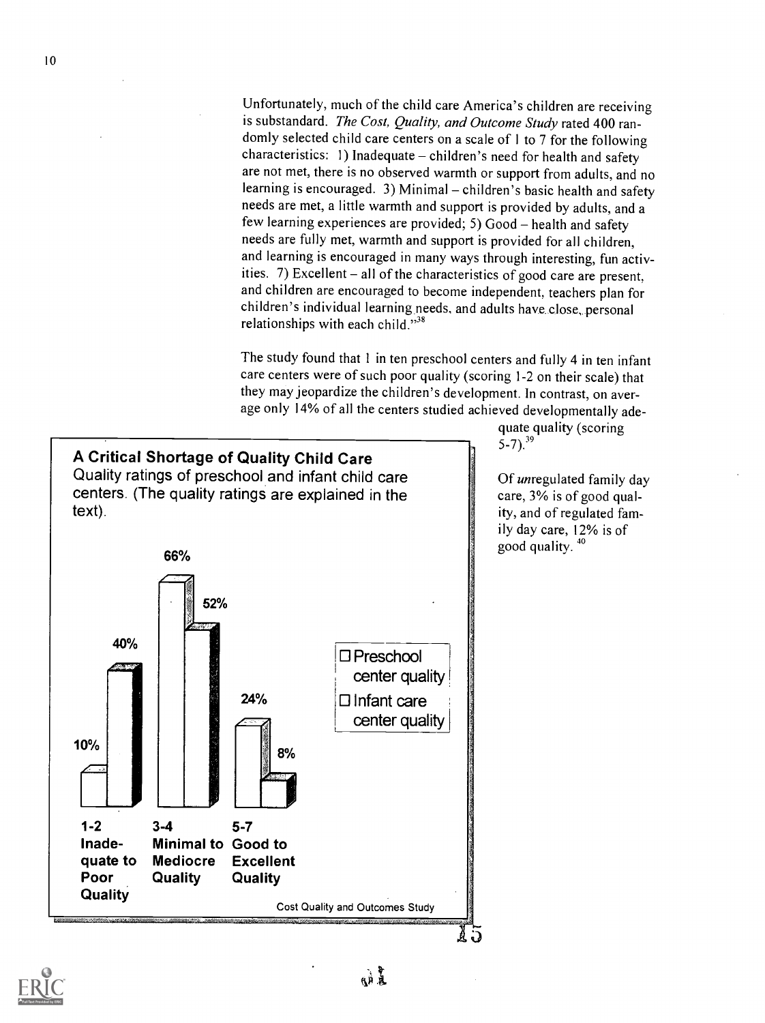Unfortunately, much of the child care America's children are receiving is substandard. The Cost, Quality, and Outcome Study rated 400 randomly selected child care centers on a scale of I to 7 for the following characteristics: 1) Inadequate  $-$  children's need for health and safety are not met, there is no observed warmth or support from adults, and no learning is encouraged. 3) Minimal – children's basic health and safety needs are met, a little warmth and support is provided by adults, and a few learning experiences are provided; 5) Good - health and safety needs are fully met, warmth and support is provided for all children, and learning is encouraged in many ways through interesting, fun activities. 7) Excellent  $-$  all of the characteristics of good care are present, and children are encouraged to become independent, teachers plan for children's individual learning needs, and adults have, close, .personal relationships with each child. $338$ 

The study found that 1 in ten preschool centers and fully 4 in ten infant care centers were of such poor quality (scoring 1-2 on their scale) that they may jeopardize the children's development. In contrast, on average only 14% of all the centers studied achieved developmentally ade-



quate quality (scoring  $5-7$ ).<sup>39</sup>

Of unregulated family day care, 3% is of good quality, and of regulated family day care, 12% is of good quality. 40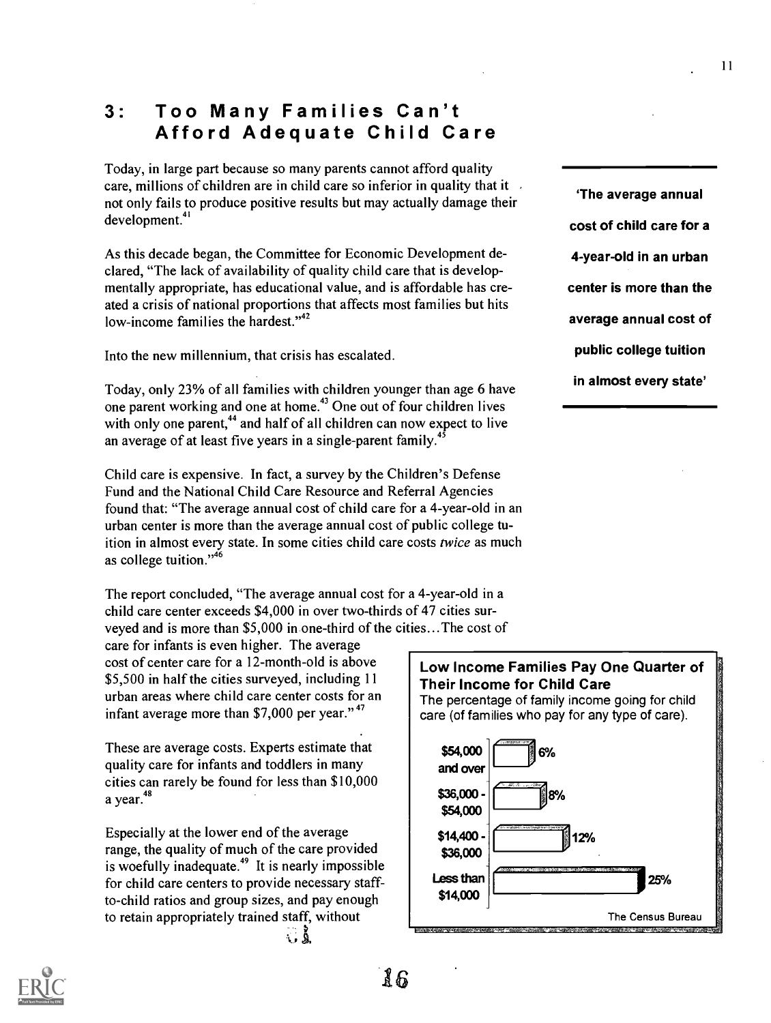# 3: Too Many Families Can't Afford Adequate Child Care

Today, in large part because so many parents cannot afford quality care, millions of children are in child care so inferior in quality that it . not only fails to produce positive results but may actually damage their development.<sup>41</sup>

As this decade began, the Committee for Economic Development declared, "The lack of availability of quality child care that is developmentally appropriate, has educational value, and is affordable has created a crisis of national proportions that affects most families but hits low-income families the hardest."<sup>42</sup>

Into the new millennium, that crisis has escalated.

Today, only 23% of all families with children younger than age 6 have one parent working and one at home.43 One out of four children lives with only one parent,<sup>44</sup> and half of all children can now expect to live an average of at least five years in a single-parent family.<sup>45</sup>

Child care is expensive. In fact, a survey by the Children's Defense Fund and the National Child Care Resource and Referral Agencies found that: "The average annual cost of child care for a 4-year-old in an urban center is more than the average annual cost of public college tuition in almost every state. In some cities child care costs twice as much as college tuition."46

The report concluded, "The average annual cost for a 4-year-old in a child care center exceeds \$4,000 in over two-thirds of 47 cities surveyed and is more than \$5,000 in one-third of the cities...The cost of

care for infants is even higher. The average cost of center care for a 12-month-old is above \$5,500 in half the cities surveyed, including 11 urban areas where child care center costs for an infant average more than \$7,000 per year."<sup>47</sup>

These are average costs. Experts estimate that quality care for infants and toddlers in many cities can rarely be found for less than \$10,000 a year.<sup>48</sup>

Especially at the lower end of the average range, the quality of much of the care provided is woefully inadequate.<sup>49</sup> It is nearly impossible for child care centers to provide necessary staffto-child ratios and group sizes, and pay enough to retain appropriately trained staff, without

$$
\mathfrak{L}.
$$

`The average annual cost of child care for a 4-year-old in an urban center is more than the average annual cost of public college tuition in almost every state'



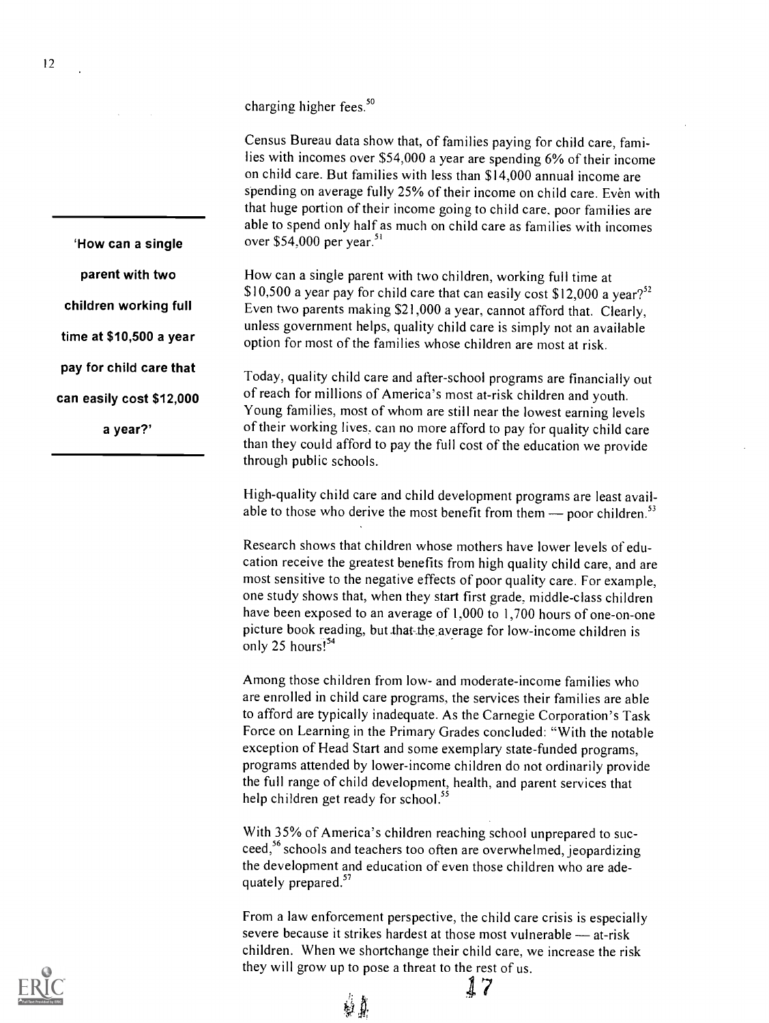charging higher fees.

Census Bureau data show that, of families paying for child care, families with incomes over \$54,000 a year are spending 6% of their income on child care. But families with less than \$14,000 annual income are spending on average fully 25% of their income on child care. Even with that huge portion of their income going to child care, poor families are able to spend only half as much on child care as families with incomes over  $$54,000$  per year.<sup>51</sup>

How can a single parent with two children, working full time at \$10,500 a year pay for child care that can easily cost \$12,000 a year?<sup>52</sup> Even two parents making \$21,000 a year, cannot afford that. Clearly, unless government helps, quality child care is simply not an available option for most of the families whose children are most at risk.

Today, quality child care and after-school programs are financially out of reach for millions of America's most at-risk children and youth. Young families, most of whom are still near the lowest earning levels of their working lives, can no more afford to pay for quality child care than they could afford to pay the full cost of the education we provide through public schools.

High-quality child care and child development programs are least available to those who derive the most benefit from them  $-$  poor children.<sup>53</sup>

Research shows that children whose mothers have lower levels of education receive the greatest benefits from high quality child care, and are most sensitive to the negative effects of poor quality care. For example, one study shows that, when they start first grade, middle-class children have been exposed to an average of 1,000 to 1,700 hours of one-on-one picture book reading, but that the average for low-income children is only 25 hours!<sup>54</sup>

Among those children from low- and moderate-income families who are enrolled in child care programs, the services their families are able to afford are typically inadequate. As the Carnegie Corporation's Task Force on Learning in the Primary Grades concluded: "With the notable exception of Head Start and some exemplary state-funded programs, programs attended by lower-income children do not ordinarily provide the full range of child development, health, and parent services that help children get ready for school.<sup>55</sup>

With 35% of America's children reaching school unprepared to succeed,<sup>56</sup> schools and teachers too often are overwhelmed, jeopardizing the development and education of even those children who are adequately prepared.<sup>57</sup>

From a law enforcement perspective, the child care crisis is especially severe because it strikes hardest at those most vulnerable - at-risk children. When we shortchange their child care, we increase the risk they will grow up to pose a threat to the rest of us.

H 8.

 $\overline{7}$ 



12

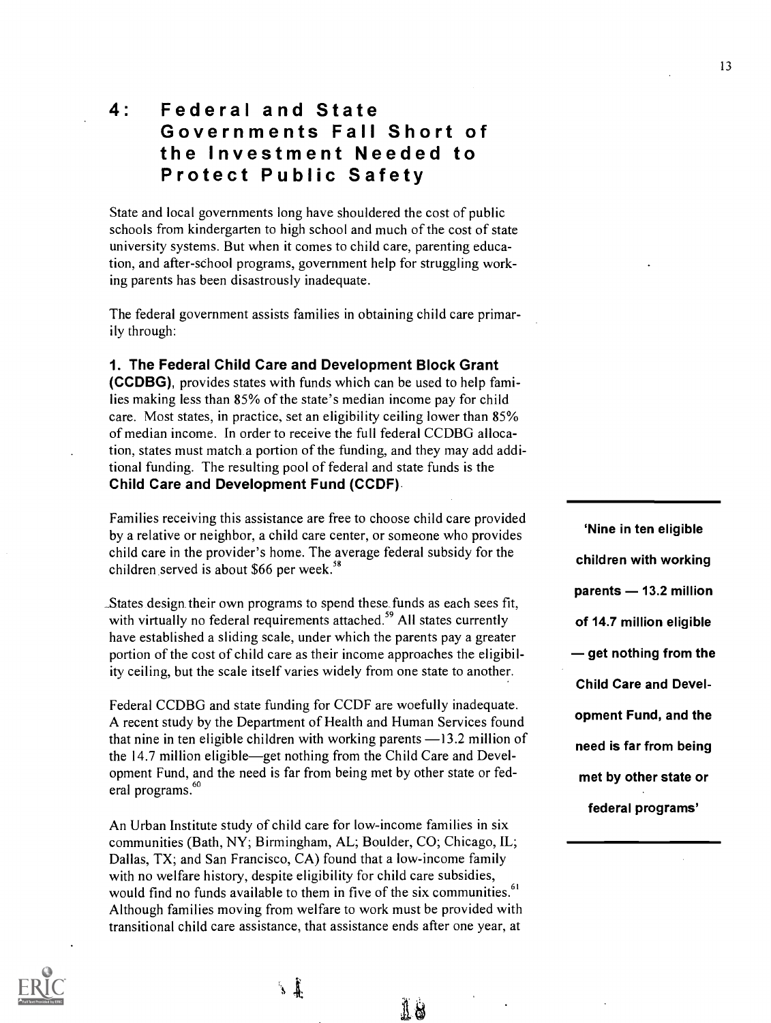### 4: Federal and State Governments Fall Short of the Investment Needed to Protect Public Safety

State and local governments long have shouldered the cost of public schools from kindergarten to high school and much of the cost of state university systems. But when it comes to child care, parenting education, and after-school programs, government help for struggling working parents has been disastrously inadequate.

The federal government assists families in obtaining child care primarily through:

1. The Federal Child Care and Development Block Grant (CCDBG), provides states with funds which can be used to help fami-

lies making less than 85% of the state's median income pay for child care. Most states, in practice, set an eligibility ceiling lower than 85% of median income. In order to receive the full federal CCDBG allocation, states must match a portion of the funding, and they may add additional funding. The resulting pool of federal and state funds is the Child Care and Development Fund (CCDF).

Families receiving this assistance are free to choose child care provided by a relative or neighbor, a child care center, or someone who provides child care in the provider's home. The average federal subsidy for the children served is about  $$66$  per week.<sup>58</sup>

\_States design their own programs to spend these\_funds as each sees fit, with virtually no federal requirements attached.<sup>59</sup> All states currently have established a sliding scale, under which the parents pay a greater portion of the cost of child care as their income approaches the eligibility ceiling, but the scale itself varies widely from one state to another.

Federal CCDBG and state funding for CCDF are woefully inadequate. A recent study by the Department of Health and Human Services found that nine in ten eligible children with working parents  $-13.2$  million of the  $14.7$  million eligible—get nothing from the Child Care and Development Fund, and the need is far from being met by other state or federal programs.<sup>60</sup>

An Urban Institute study of child care for low-income families in six communities (Bath, NY; Birmingham, AL; Boulder, CO; Chicago, IL; Dallas, TX; and San Francisco, CA) found that a low-income family with no welfare history, despite eligibility for child care subsidies, would find no funds available to them in five of the six communities.<sup>61</sup> Although families moving from welfare to work must be provided with transitional child care assistance, that assistance ends after one year, at

 $\sqrt{1}$ 

`Nine in ten eligible children with working  $parents - 13.2$  million of 14.7 million eligible  $-$  get nothing from the Child Care and Development Fund, and the need is far from being met by other state or federal programs'



 $1.8$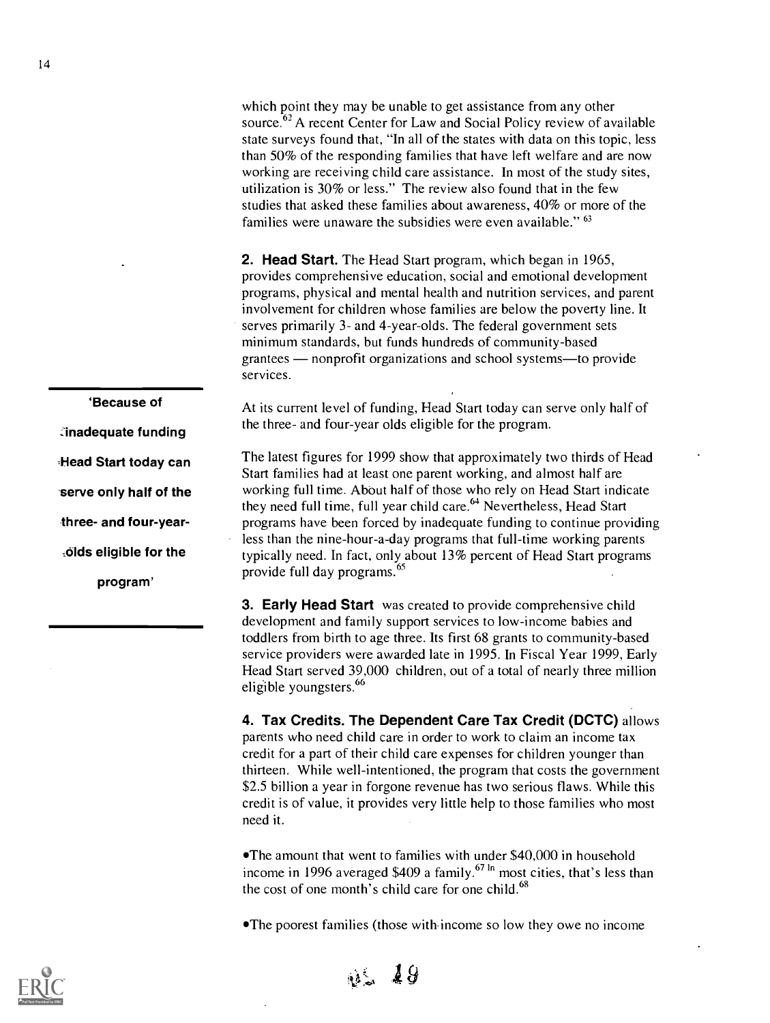which point they may be unable to get assistance from any other source.<sup> $62$ </sup> A recent Center for Law and Social Policy review of available state surveys found that, "In all of the states with data on this topic, less than 50% of the responding families that have left welfare and are now working are receiving child care assistance. In most of the study sites, utilization is 30% or less." The review also found that in the few studies that asked these families about awareness, 40% or more of the families were unaware the subsidies were even available." <sup>63</sup>

**2. Head Start.** The Head Start program, which began in 1965, provides comprehensive education, social and emotional development programs, physical and mental health and nutrition services, and parent involvement for children whose families are below the poverty line. It serves primarily 3- and 4-year-olds. The federal government sets minimum standards, but funds hundreds of community-based grantees — nonprofit organizations and school systems—to provide services.

At its current level of funding, Head Start today can serve only half of the three- and four-year olds eligible for the program.

The latest figures for 1999 show that approximately two thirds of Head Start families had at least one parent working, and almost half are working full time. About half of those who rely on Head Start indicate they need full time, full year child care.<sup>64</sup> Nevertheless, Head Start programs have been forced by inadequate funding to continue providing less than the nine-hour-a-day programs that full-time working parents typically need. In fact, only about 13% percent of Head Start programs provide full day programs.<sup>65</sup>

**3. Early Head Start** was created to provide comprehensive child development and family support services to low-income babies and toddlers from birth to age three. Its first 68 grants to community-based service providers were awarded late in 1995. In Fiscal Year 1999, Early Head Start served 39,000 children, out of a total of nearly three million eligible youngsters.<sup>66</sup>

4. Tax Credits. The Dependent Care Tax Credit (DCTC) allows parents who need child care in order to work to claim an income tax credit for a part of their child care expenses for children younger than thirteen. While well-intentioned, the program that costs the government \$2.5 billion a year in forgone revenue has two serious flaws. While this credit is of value, it provides very little help to those families who most need it.

The amount that went to families with under \$40,000 in household income in 1996 averaged \$409 a family.<sup>67 In</sup> most cities, that's less than the cost of one month's child care for one child. $<sup>68</sup>$ </sup>

The poorest families (those with income so low they owe no income

`Because of :inadequate funding Head Start today can serve only half of the three- and four-year- ,Olds eligible for the program'



 $n = 19$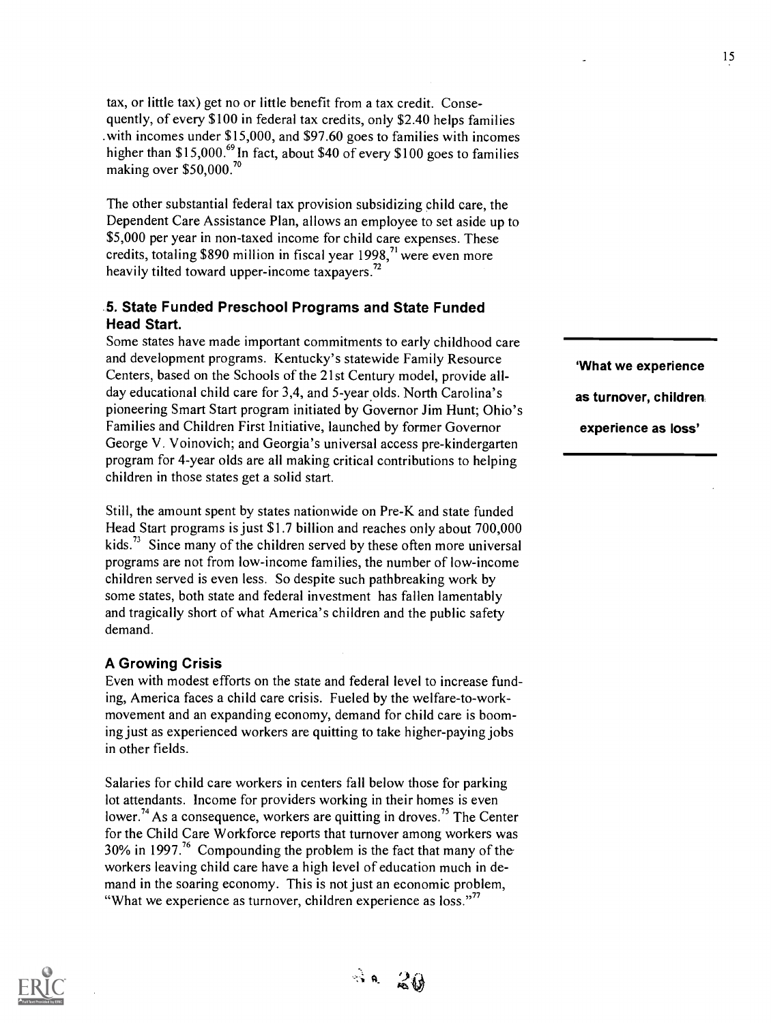tax, or little tax) get no or little benefit from a tax credit. Consequently, of every \$100 in federal tax credits, only \$2.40 helps families .with incomes under \$15,000, and \$97.60 goes to families with incomes higher than  $$15,000.^{69}$  In fact, about \$40 of every \$100 goes to families making over \$50,000.<sup>70</sup>

The other substantial federal tax provision subsidizing child care, the Dependent Care Assistance Plan, allows an employee to set aside up to \$5,000 per year in non-taxed income for child care expenses. These credits, totaling \$890 million in fiscal year 1998, $<sup>71</sup>$  were even more</sup> heavily tilted toward upper-income taxpayers.<sup>72</sup>

#### 5. State Funded Preschool Programs and State Funded Head Start.

Some states have made important commitments to early childhood care and development programs. Kentucky's statewide Family Resource Centers, based on the Schools of the 21st Century model, provide allday educational child care for 3,4, and 5 -year olds. North Carolina's pioneering Smart Start program initiated by Governor Jim Hunt; Ohio's Families and Children First Initiative, launched by former Governor George V. Voinovich; and Georgia's universal access pre-kindergarten program for 4-year olds are all making critical contributions to helping children in those states get a solid start.

Still, the amount spent by states nationwide on Pre-K and state funded Head Start programs is just \$1.7 billion and reaches only about 700,000 kids.<sup>73</sup> Since many of the children served by these often more universal programs are not from low-income families, the number of low-income children served is even less. So despite such pathbreaking work by some states, both state and federal investment has fallen lamentably and tragically short of what America's children and the public safety demand.

#### A Growing Crisis

Even with modest efforts on the state and federal level to increase funding, America faces a child care crisis. Fueled by the welfare-to-workmovement and an expanding economy, demand for child care is booming just as experienced workers are quitting to take higher-paying jobs in other fields.

Salaries for child care workers in centers fall below those for parking lot attendants. Income for providers working in their homes is even lower.<sup>74</sup> As a consequence, workers are quitting in droves.<sup>75</sup> The Center for the Child Care Workforce reports that turnover among workers was  $30\%$  in 1997.<sup>76</sup> Compounding the problem is the fact that many of theworkers leaving child care have a high level of education much in demand in the soaring economy. This is not just an economic problem, "What we experience as turnover, children experience as loss."<sup>77</sup>

'What we experience as turnover, children experience as loss'



A. 20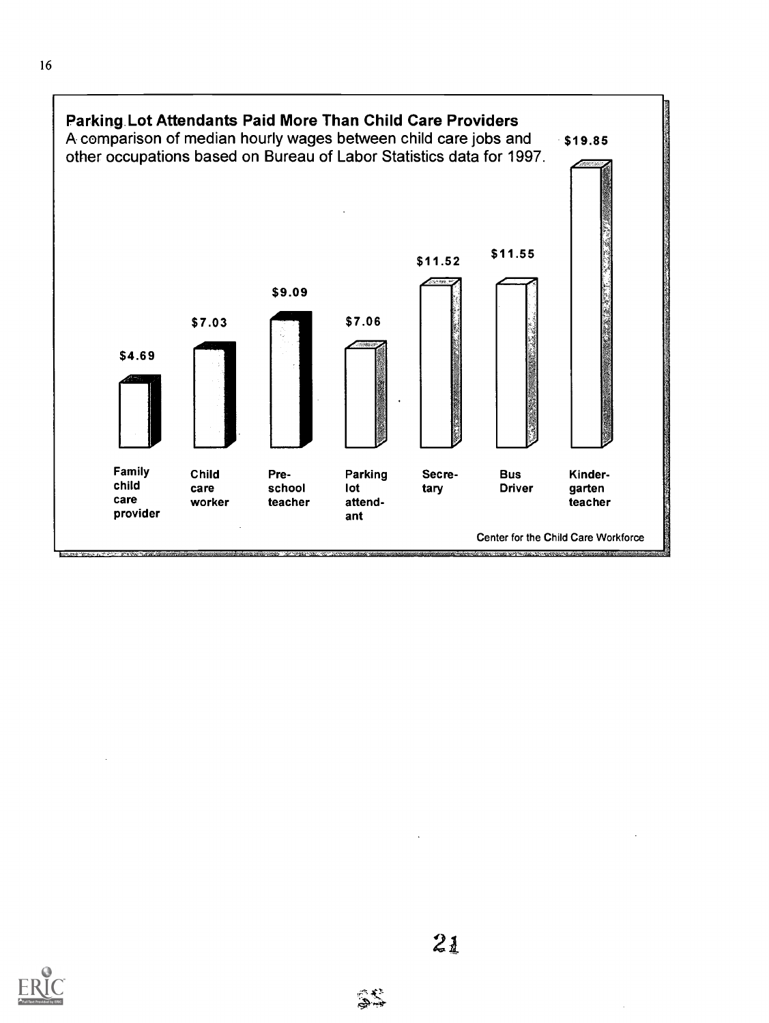![](_page_21_Figure_1.jpeg)

![](_page_21_Picture_2.jpeg)

24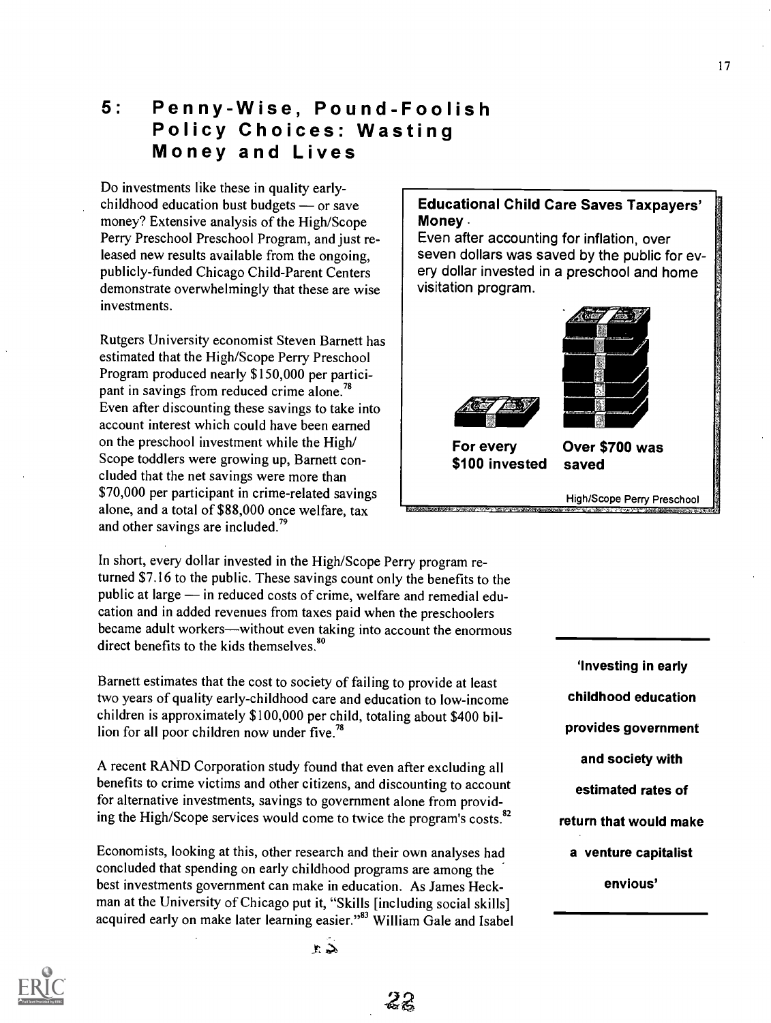# <sup>5</sup> Penny-Wise, Pound-Foolish Policy Choices: Wasting Money and Lives

Do investments like these in quality earlychildhood education bust budgets  $-$  or save money? Extensive analysis of the High/Scope Perry Preschool Preschool Program, and just released new results available from the ongoing, publicly-funded Chicago Child-Parent Centers demonstrate overwhelmingly that these are wise investments.

Rutgers University economist Steven Barnett has estimated that the High/Scope Perry Preschool Program produced nearly \$150,000 per participant in savings from reduced crime alone.<sup>78</sup> Even after discounting these savings to take into account interest which could have been earned on the preschool investment while the High/ Scope toddlers were growing up, Barnett concluded that the net savings were more than \$70,000 per participant in crime-related savings alone, and a total of \$88,000 once welfare, tax and other savings are included.<sup>79</sup>

In short, every dollar invested in the High/Scope Perry program returned \$7.16 to the public. These savings count only the benefits to the public at large — in reduced costs of crime, welfare and remedial education and in added revenues from taxes paid when the preschoolers became adult workers—without even taking into account the enormous direct benefits to the kids themselves.<sup>80</sup>

Barnett estimates that the cost to society of failing to provide at least two years of quality early-childhood care and education to low-income children is approximately \$100,000 per child, totaling about \$400 billion for all poor children now under five.<sup>78</sup>

A recent RAND Corporation study found that even after excluding all benefits to crime victims and other citizens, and discounting to account for alternative investments, savings to government alone from providing the High/Scope services would come to twice the program's costs."

Economists, looking at this, other research and their own analyses had concluded that spending on early childhood programs are among the best investments government can make in education. As James Heckman at the University of Chicago put it, "Skills [including social skills] acquired early on make later learning easier."<sup>83</sup> William Gale and Isabel

 $r >$ 

#### Educational Child Care Saves Taxpayers' Money .

Even after accounting for inflation, over seven dollars was saved by the public for every dollar invested in a preschool and home visitation program.

![](_page_22_Picture_10.jpeg)

`Investing in early childhood education provides government and society with estimated rates of return that would make a venture capitalist envious'

![](_page_22_Picture_13.jpeg)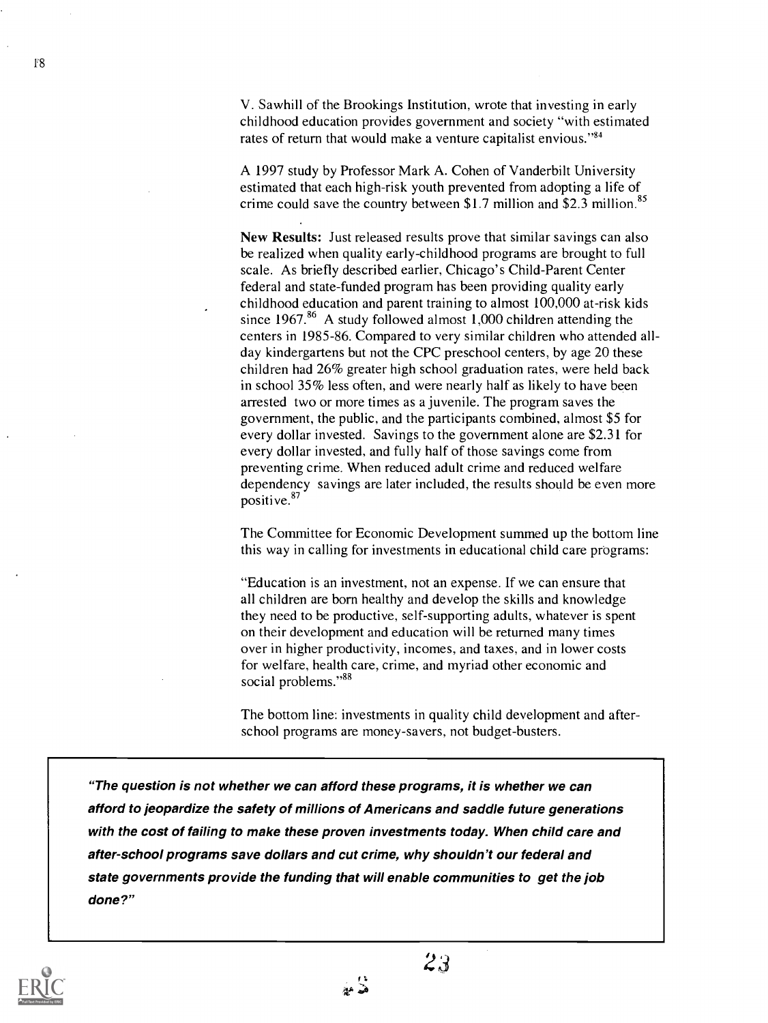V. Sawhill of the Brookings Institution, wrote that investing in early childhood education provides government and society "with estimated rates of return that would make a venture capitalist envious."84

A 1997 study by Professor Mark A. Cohen of Vanderbilt University estimated that each high-risk youth prevented from adopting a life of crime could save the country between \$1.7 million and \$2.3 million.<sup>85</sup>

New Results: Just released results prove that similar savings can also be realized when quality early-childhood programs are brought to full scale. As briefly described earlier, Chicago's Child-Parent Center federal and state-funded program has been providing quality early childhood education and parent training to almost 100,000 at-risk kids since  $1967$ <sup>86</sup> A study followed almost 1,000 children attending the centers in 1985-86. Compared to very similar children who attended allday kindergartens but not the CPC preschool centers, by age 20 these children had 26% greater high school graduation rates, were held back in school 35% less often, and were nearly half as likely to have been arrested two or more times as a juvenile. The program saves the government, the public, and the participants combined, almost \$5 for every dollar invested. Savings to the government alone are \$2.31 for every dollar invested, and fully half of those savings come from preventing crime. When reduced adult crime and reduced welfare dependency savings are later included, the results should be even more positive.<sup>87</sup>

The Committee for Economic Development summed up the bottom line this way in calling for investments in educational child care programs:

"Education is an investment, not an expense. If we can ensure that all children are born healthy and develop the skills and knowledge they need to be productive, self-supporting adults, whatever is spent on their development and education will be returned many times over in higher productivity, incomes, and taxes, and in lower costs for welfare, health care, crime, and myriad other economic and social problems."<sup>88</sup>

The bottom line: investments in quality child development and afterschool programs are money-savers, not budget-busters.

"The question is not whether we can afford these programs, it is whether we can afford to jeopardize the safety of millions of Americans and saddle future generations with the cost of failing to make these proven investments today. When child care and after-school programs save dollars and cut crime, why shouldn't our federal and state governments provide the funding that will enable communities to get the job done?"

![](_page_23_Picture_7.jpeg)

 $23$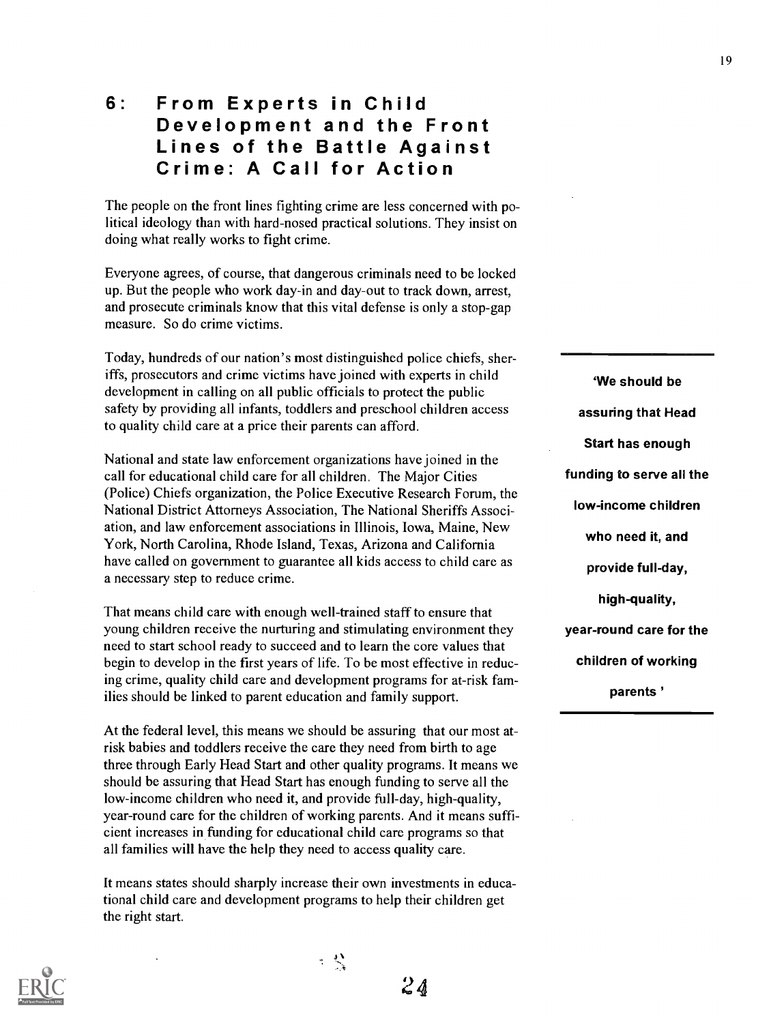19

# 6: From Experts in Child<br>Development and the Front<br>Lines of the Battle Against<br>Crime: A Call for Action

The people on the front lines fighting crime are less concerned with political ideology than with hard-nosed practical solutions. They insist on doing what really works to fight crime.

Everyone agrees, of course, that dangerous criminals need to be locked up. But the people who work day-in and day-out to track down, arrest, and prosecute criminals know that this vital defense is only a stop-gap measure. So do crime victims.

Today, hundreds of our nation's most distinguished police chiefs, sheriffs, prosecutors and crime victims have joined with experts in child development in calling on all public officials to protect the public safety by providing all infants, toddlers and preschool children access to quality child care at a price their parents can afford.

National and state law enforcement organizations have joined in the call for educational child care for all children. The Major Cities (Police) Chiefs organization, the Police Executive Research Forum, the National District Attorneys Association, The National Sheriffs Association, and law enforcement associations in Illinois, Iowa, Maine, New York, North Carolina, Rhode Island, Texas, Arizona and California have called on government to guarantee all kids access to child care as a necessary step to reduce crime.

That means child care with enough well-trained staff to ensure that young children receive the nurturing and stimulating environment they need to start school ready to succeed and to learn the core values that begin to develop in the first years of life. To be most effective in reducing crime, quality child care and development programs for at-risk families should be linked to parent education and family support.

At the federal level, this means we should be assuring that our most atrisk babies and toddlers receive the care they need from birth to age three through Early Head Start and other quality programs. It means we should be assuring that Head Start has enough funding to serve all the low-income children who need it, and provide full-day, high-quality, year-round care for the children of working parents. And it means sufficient increases in funding for educational child care programs so that all families will have the help they need to access quality care.

It means states should sharply increase their own investments in educational child care and development programs to help their children get the right start.

`We should be assuring that Head Start has enough funding to serve all the low-income children who need it, and provide full-day, high-quality, year-round care for the children of working parents '

![](_page_24_Picture_10.jpeg)

a.

 $24$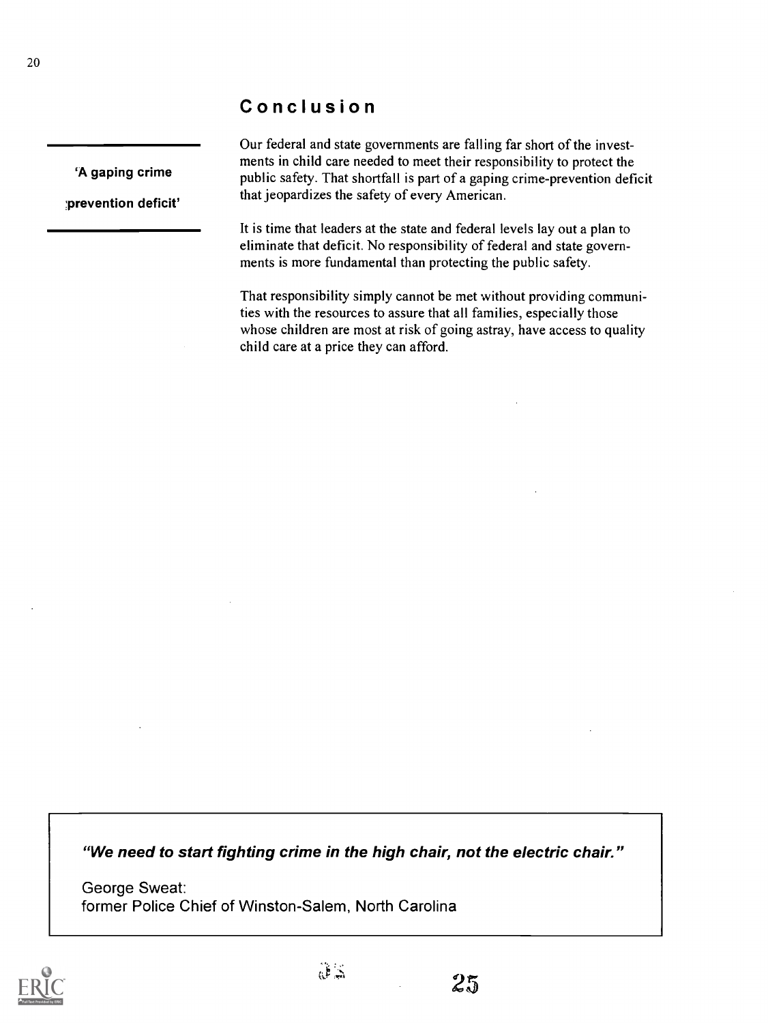#### Conclusion

'A gaping crime

'prevention deficit'

Our federal and state governments are falling far short of the investments in child care needed to meet their responsibility to protect the public safety. That shortfall is part of a gaping crime-prevention deficit that jeopardizes the safety of every American.

It is time that leaders at the state and federal levels lay out a plan to eliminate that deficit. No responsibility of federal and state governments is more fundamental than protecting the public safety.

That responsibility simply cannot be met without providing communities with the resources to assure that all families, especially those whose children are most at risk of going astray, have access to quality child care at a price they can afford.

"We need to start fighting crime in the high chair, not the electric chair."

George Sweat: former Police Chief of Winston-Salem, North Carolina

![](_page_25_Picture_8.jpeg)

![](_page_25_Picture_10.jpeg)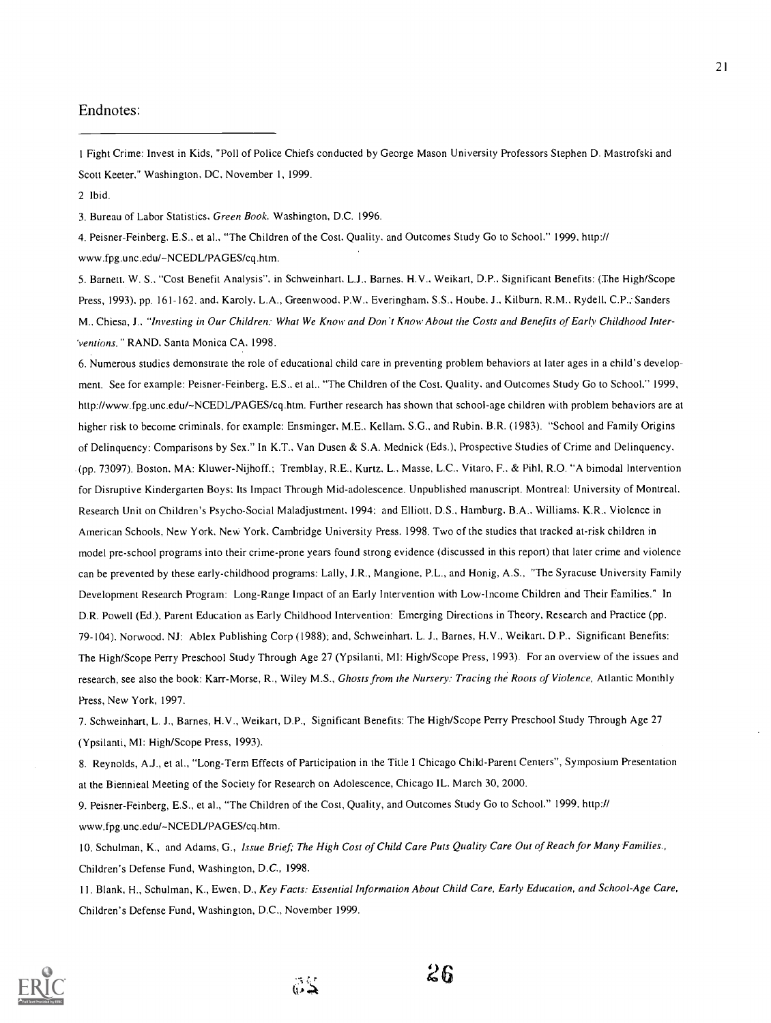#### Endnotes:

1 Fight Crime: Invest in Kids. "Poll of Police Chiefs conducted by George Mason University Professors Stephen D. Mastrofski and Scott Keeter." Washington, DC. November 1, 1999.

3. Bureau of Labor Statistics, Green Book, Washington, D.C. 1996.

4. Peisner-Feinberg. E.S.. et al.. "The Children of the Cost, Quality, and Outcomes Study Go to School," 1999, http:// www.fpg.unc.edu/~NCEDL/PAGES/cq.htm.

5. Barnett, W. S.. "Cost Benefit Analysis", in Schweinhart. L.J., Barnes. H.V., Weikart, D.P.. Significant Benefits: (The High/Scope Press, 1993), pp. 161-162. and, Karoly, L.A., Greenwood. P.W., Everingham, S.S., Hoube, J.. Kilburn, R.M., Rydell, C.P.; Sanders M., Chiesa, J.. "Investing in Our Children: What We Know and Don't Know About the Costs and Benefits of Early Childhood Inter- \*ventions," RAND. Santa Monica CA. 1998.

6. Numerous studies demonstrate the role of educational child care in preventing problem behaviors at later ages in a child's development. See for example: Peisner-Feinberg, E.S.. et al.. "The Children of the Cost. Quality, and Outcomes Study Go to School," 1999, http://www.fpg.unc.edu/~NCEDL/PAGES/cq.htm. Further research has shown that school-age children with problem behaviors are at higher risk to become criminals, for example: Ensminger, M.E., Kellam. S.G.. and Rubin, B.R. (1983). "School and Family Origins of Delinquency: Comparisons by Sex." In K.T.. Van Dusen & S.A. Mednick (Eds.), Prospective Studies of Crime and Delinquency. (pp. 73097). Boston, MA: Kluwer-Nijhoff.; Tremblay, R.E., Kurtz, L., Masse, L.C., Vitaro, F.. & Pihl, R.O. "A bimodal Intervention for Disruptive Kindergarten Boys; Its Impact Through Mid-adolescence. Unpublished manuscript. Montreal: University of Montreal, Research Unit on Children's Psycho-Social Maladjustment. 1994: and Elliott, D.S., Hamburg. B.A.. Williams. K.R.. Violence in American Schools. New York. NeW York, Cambridge University Press. 1998. Two of the studies that tracked at-risk children in model pre-school programs into their crime-prone years found strong evidence (discussed in this report) that later crime and violence can be prevented by these early-childhood programs: Lally, J.R., Mangione, P.L., and Honig, A.S., "The Syracuse University Family Development Research Program: Long-Range Impact of an Early Intervention with Low-Income Children and Their Families." In D.R. Powell (Ed.), Parent Education as Early Childhood Intervention: Emerging Directions in Theory, Research and Practice (pp. 79-104). Norwood, NJ: Ablex Publishing Corp (1988): and, Schweinhart, L. J., Barnes, H.V., Weikart, D.P., Significant Benefits: The High/Scope Perry Preschool Study Through Age 27 (Ypsilanti, Ml: High/Scope Press, 1993). For an overview of the issues and research, see also the book: Karr-Morse, R., Wiley M.S., Ghosts from the Nursery: Tracing the Roots of Violence, Atlantic Monthly Press. New York, 1997.

7. Schweinhart, L. J., Barnes, H.V., Weikart, D.P., Significant Benefits: The High/Scope Perry Preschool Study Through Age 27 (Ypsilanti, MI: High/Scope Press, 1993).

8. Reynolds, A.J., et al., "Long-Term Effects of Participation in the Title I Chicago Child-Parent Centers", Symposium Presentation at the Biennieal Meeting of the Society for Research on Adolescence, Chicago IL, March 30, 2000.

9. Peisner-Feinberg, E.S., et al., "The Children of the Cost, Quality, and Outcomes Study Go to School," 1999, http:// www.fpg.unc.edu/~NCEDL/PAGES/cq.htm.

10. Schulman, K., and Adams, G., Issue Brief; The High Cost of Child Care Puts Quality Care Out of Reach for Many Families., Children's Defense Fund, Washington, D.C., 1998.

11. Blank, H., Schulman, K., Ewen, D., Key Facts: Essential Information About Child Care, Early Education, and School-Age Care, Children's Defense Fund, Washington, D.C., November 1999.

![](_page_26_Picture_12.jpeg)

![](_page_26_Picture_13.jpeg)

![](_page_26_Picture_15.jpeg)

<sup>2</sup> Ibid.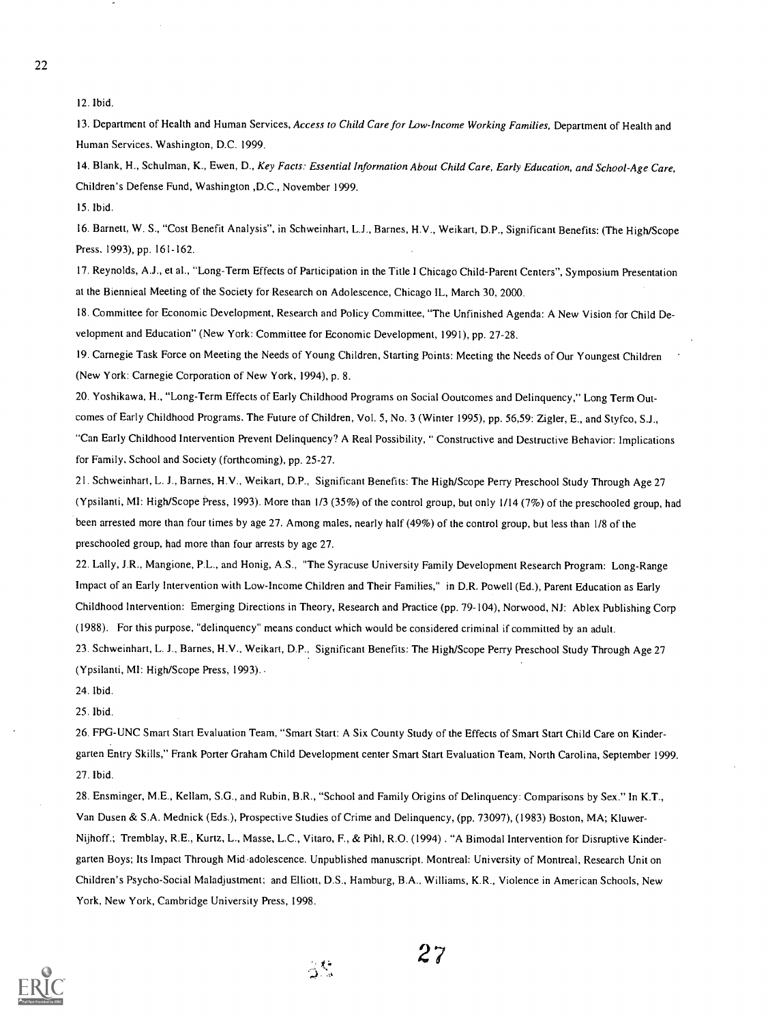22

12. Ibid.

13. Department of Health and Human Services, Access to Child Care for Low-Income Working Families, Department of Health and Human Services, Washington, D.C. 1999.

14. Blank, H., Schulman, K., Ewen, D., Key Facts: Essential Information About Child Care, Early Education, and School-Age Care, Children's Defense Fund, Washington ,D.C., November 1999.

15. Ibid.

16. Barnett, W. S., "Cost Benefit Analysis", in Schweinhart, L.J., Barnes, H.V., Weikart, D.P., Significant Benefits: (The High/Scope Press, 1993), pp. 161-162.

17. Reynolds, A.J., et al., "Long-Term Effects of Participation in the Title I Chicago Child-Parent Centers", Symposium Presentation at the Biennieal Meeting of the Society for Research on Adolescence, Chicago IL, March 30, 2000.

18. Committee for Economic Development, Research and Policy Committee, "The Unfinished Agenda: A New Vision for Child Development and Education" (New York: Committee for Economic Development, 1991), pp. 27-28.

19. Carnegie Task Force on Meeting the Needs of Young Children, Starting Points: Meeting the Needs of Our Youngest Children (New York: Carnegie Corporation of New York, 1994), p. 8.

20. Yoshikawa, H., "Long-Term Effects of Early Childhood Programs on Social Ooutcomes and Delinquency," Long Term Outcomes of Early Childhood Programs, The Future of Children, Vol. 5, No. 3 (Winter 1995), pp. 56,59: Zigler, E., and Styfco, S.J., "Can Early Childhood Intervention Prevent Delinquency? A Real Possibility, " Constructive and Destructive Behavior: Implications for Family, School and Society (forthcoming), pp. 25-27.

21. Schweinhart, L. J., Barnes, H.V., Weikart, D.P., Significant Benefits: The High/Scope Perry Preschool Study Through Age 27 (Ypsilanti, MI: High/Scope Press, 1993). More than 1/3 (35%) of the control group, but only 1/14 (7%) of the preschooled group, had been arrested more than four times by age 27. Among males, nearly half (49%) of the control group, but less than 1/8 of the preschooled group, had more than four arrests by age 27.

22. Lally, J.R., Mangione, P.L., and Honig, A.S., "The Syracuse University Family Development Research Program: Long-Range Impact of an Early Intervention with Low-Income Children and Their Families," in D.R. Powell (Ed.), Parent Education as Early Childhood Intervention: Emerging Directions in Theory, Research and Practice (pp. 79-104), Norwood, NJ: Ablex Publishing Corp (1988). For this purpose, "delinquency" means conduct which would be considered criminal if committed by an adult.

23. Schweinhart, L. J., Barnes, H.V., Weikart, D.P., Significant Benefits: The High/Scope Perry Preschool Study Through Age 27 (Ypsilanti, MI: High/Scope Press, 1993)..

24. Ibid.

25. Ibid.

26. FPG-UNC Smart Start Evaluation Team, "Smart Start: A Six County Study of the Effects of Smart Start Child Care on Kindergarten Entry Skills," Frank Porter Graham Child Development center Smart Start Evaluation Team, North Carolina, September 1999. 27. Ibid.

28. Ensminger, M.E., Kellam, S.G., and Rubin, B.R., "School and Family Origins of Delinquency: Comparisons by Sex." In K.T., Van Dusen & S.A. Mednick (Eds.), Prospective Studies of Crime and Delinquency, (pp. 73097), (1983) Boston, MA; Kluwer-Nijhoff.; Tremblay, R.E., Kurtz, L., Masse, L.C., Vitaro, F., & Pihl, R.O. (1994) . "A Bimodal Intervention for Disruptive Kindergarten Boys; Its Impact Through Mid-adolescence. Unpublished manuscript. Montreal: University of Montreal, Research Unit on Children's Psycho-Social Maladjustment; and Elliott, D.S., Hamburg, B.A., Williams, K.R., Violence in American Schools, New York, New York, Cambridge University Press, 1998.

![](_page_27_Picture_18.jpeg)

27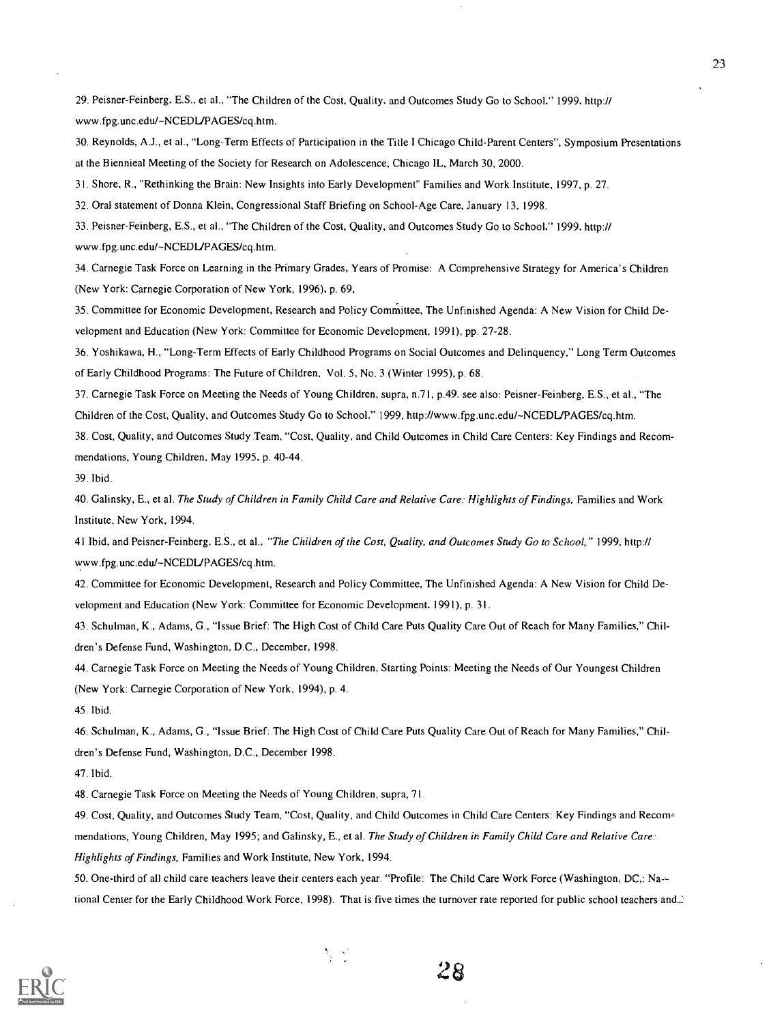29. Peisner-Feinberg. E.S., et al., "The Children of the Cost, Quality, and Outcomes Study Go to School," 1999, http:// www.fpg.unc.edu/-NCEDL/PAGES/cq.htm.

30. Reynolds, A.J., et al., "Long-Term Effects of Participation in the Title I Chicago Child-Parent Centers", Symposium Presentations at the Biennieal Meeting of the Society for Research on Adolescence, Chicago IL, March 30, 2000.

31. Shore, R., "Rethinking the Brain: New Insights into Early Development" Families and Work Institute, 1997, p. 27.

32. Oral statement of Donna Klein, Congressional Staff Briefing on School-Age Care, January 13, 1998.

33. Peisner-Feinberg, E.S., et al., "The Children of the Cost, Quality, and Outcomes Study Go to School," 1999, http:// www.fpg.unc.edu/-NCEDUPAGES/cq.htm.

34. Carnegie Task Force on Learning in the Primary Grades, Years of Promise: A Comprehensive Strategy for America's Children (New York: Carnegie Corporation of New York, 1996), p. 69,

35. Committee for Economic Development, Research and Policy Committee, The Unfinished Agenda: A New Vision for Child Development and Education (New York: Committee for Economic Development, 1991), pp. 27-28.

36. Yoshikawa, H., "Long-Term Effects of Early Childhood Programs on Social Outcomes and Delinquency," Long Term Outcomes of Early Childhood Programs: The Future of Children, Vol. 5, No. 3 (Winter 1995), p. 68.

37. Carnegie Task Force on Meeting the Needs of Young Children, supra, n.71, p.49. see also: Peisner-Feinberg, E.S., et al., "The Children of the Cost, Quality, and Outcomes Study Go to School," 1999, http://www.fpg.unc.edu/-NCEDUPAGES/cq.htm.

38. Cost, Quality, and Outcomes Study Team, "Cost, Quality, and Child Outcomes in Child Care Centers: Key Findings and Recommendations, Young Children, May 1995, p. 40-44.

39. Ibid.

40. Galinsky, E., et al. The Study of Children in Family Child Care and Relative Care: Highlights of Findings, Families and Work Institute, New York, 1994.

41 Ibid, and Peisner-Feinberg, E.S., et al., "The Children of the Cost, Quality, and Outcomes Study Go to School," 1999, http:// www.fpg.unc.edu/-NCEDUPAGES/cq.htm.

42. Committee for Economic Development, Research and Policy Committee, The Unfinished Agenda: A New Vision for Child Development and Education (New York: Committee for Economic Development, 1991), p. 31.

43. Schulman, K., Adams, G., "Issue Brief: The High Cost of Child Care Puts Quality Care Out of Reach for Many Families," Children's Defense Fund, Washington, D.C., December, 1998.

44. Carnegie Task Force on Meeting the Needs of Young Children, Starting Points: Meeting the Needs of Our Youngest Children (New York: Carnegie Corporation of New York, 1994), p. 4.

45. Ibid.

46. Schulman, K., Adams, G., "Issue Brief: The High Cost of Child Care Puts Quality Care Out of Reach for Many Families," Children's Defense Fund, Washington, D.C., December 1998.

47. Ibid.

48. Carnegie Task Force on Meeting the Needs of Young Children, supra, 71.

49. Cost, Quality, and Outcomes Study Team, "Cost, Quality, and Child Outcomes in Child Care Centers: Key Findings and Recome mendations, Young Children, May 1995; and Galinsky, E., et al. The Study of Children in Family Child Care and Relative Care: Highlights of Findings, Families and Work Institute, New York, 1994.

50. One-third of all child care teachers leave their centers each year. "Profile: The Child Care Work Force (Washington, DC,: National Center for the Early Childhood Work Force, 1998). That is five times the turnover rate reported for public school teachers and...

![](_page_28_Picture_22.jpeg)

 $\frac{1}{2}$  ,  $\frac{1}{2}$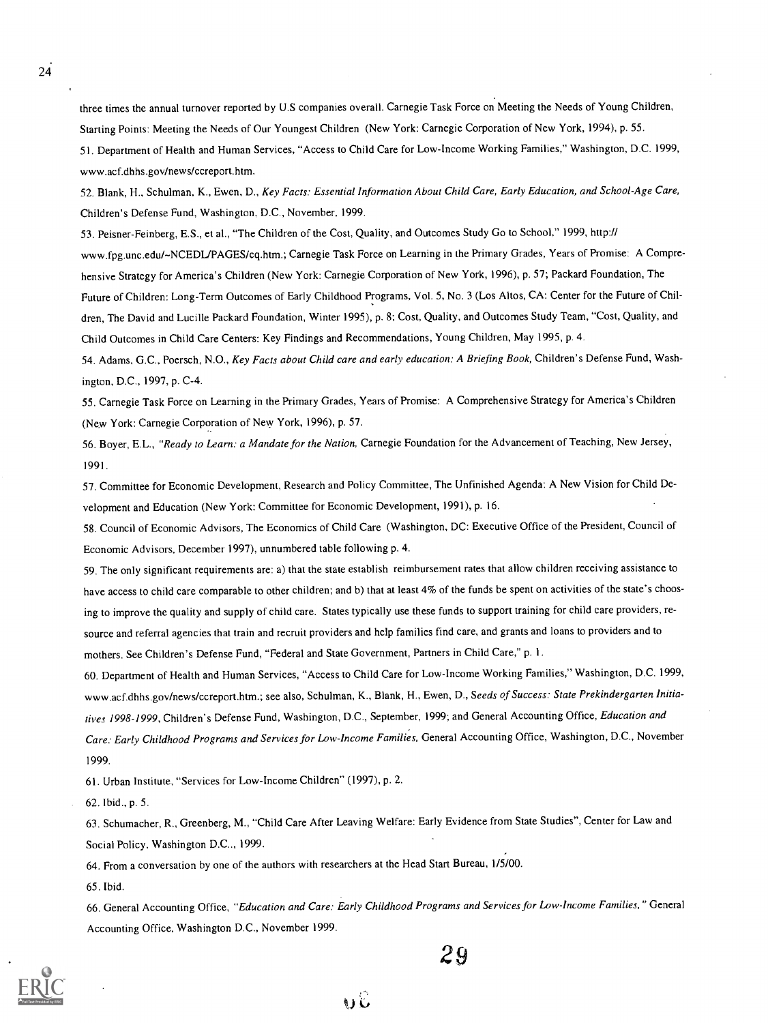three times the annual turnover reported by U.S companies overall. Carnegie Task Force on Meeting the Needs of Young Children, Starting Points: Meeting the Needs of Our Youngest Children (New York: Carnegie Corporation of New York, 1994), p. 55. 51. Department of Health and Human Services, "Access to Child Care for Low-Income Working Families," Washington, D.C. 1999,

52. Blank, H., Schulman, K., Ewen, D., Key Facts: Essential Information About Child Care, Early Education, and School-Age Care, Children's Defense Fund, Washington. D.C., November, 1999.

53. Peisner-Feinberg, E.S., et al., "The Children of the Cost, Quality, and Outcomes Study Go to School," 1999, http://

www.fpg.unc.edu/-NCEDUPAGES/cq.htm.; Carnegie Task Force on Learning in the Primary Grades, Years of Promise: A Comprehensive Strategy for America's Children (New York: Carnegie Corporation of New York, 1996), p. 57; Packard Foundation, The

Future of Children: Long-Term Outcomes of Early Childhood Programs, Vol. 5, No. 3 (Los Altos, CA: Center for the Future of Children, The David and Lucille Packard Foundation, Winter 1995), p. 8; Cost, Quality, and Outcomes Study Team, "Cost, Quality, and Child Outcomes in Child Care Centers: Key Findings and Recommendations, Young Children, May 1995, p. 4.

54. Adams, G.C., Poersch, N.O., Key Facts about Child care and early education: A Briefing Book, Children's Defense Fund, Washington. D.C.. 1997, p. C-4.

55. Carnegie Task Force on Learning in the Primary Grades, Years of Promise: A Comprehensive Strategy for America's Children (New York: Carnegie Corporation of New York, 1996), p. 57.

56. Boyer, E.L., "Ready to Learn: a Mandate for the Nation, Carnegie Foundation for the Advancement of Teaching, New Jersey, 1991.

57. Committee for Economic Development, Research and Policy Committee, The Unfinished Agenda: A New Vision for Child Development and Education (New York: Committee for Economic Development, 1991), p. 16.

58. Council of Economic Advisors, The Economics of Child Care (Washington, DC: Executive Office of the President, Council of Economic Advisors, December 1997), unnumbered table following p. 4.

59. The only significant requirements are: a) that the state establish reimbursement rates that allow children receiving assistance to have access to child care comparable to other children; and b) that at least 4% of the funds be spent on activities of the state's choosing to improve the quality and supply of child care. States typically use these funds to support training for child care providers, resource and referral agencies that train and recruit providers and help families find care, and grants and loans to providers and to mothers. See Children's Defense Fund, "Federal and State Government, Partners in Child Care," p. 1.

60. Department of Health and Human Services, "Access to Child Care for Low-Income Working Families," Washington, D.C. 1999, www.acf.dhhs.gov/news/ccreport.htm.; see also. Schulman, K., Blank, H., Ewen, D., Seeds of Success: State Prekindergarten Initiatives 1998-1999, Children's Defense Fund, Washington, D.C., September, 1999; and General Accounting Office, Education and Care: Early Childhood Programs and Services for Low-Income Families, General Accounting Office, Washington, D.C., November 1999.

61. Urban Institute, "Services for Low-Income Children" (1997), p. 2.

62. Ibid., p. 5.

63. Schumacher, R., Greenberg, M., "Child Care After Leaving Welfare: Early Evidence from State Studies", Center for Law and Social Policy, Washington D.C.., 1999.

64. From a conversation by one of the authors with researchers at the Head Start Bureau, 1/5/00.

65. Ibid.

66. General Accounting Office, "Education and Care: Early Childhood Programs and Services for Low-Income Families," General Accounting Office, Washington D.C., November 1999.

![](_page_29_Picture_18.jpeg)

29

www.acf.dhhs.gov/news/ccreport.htm.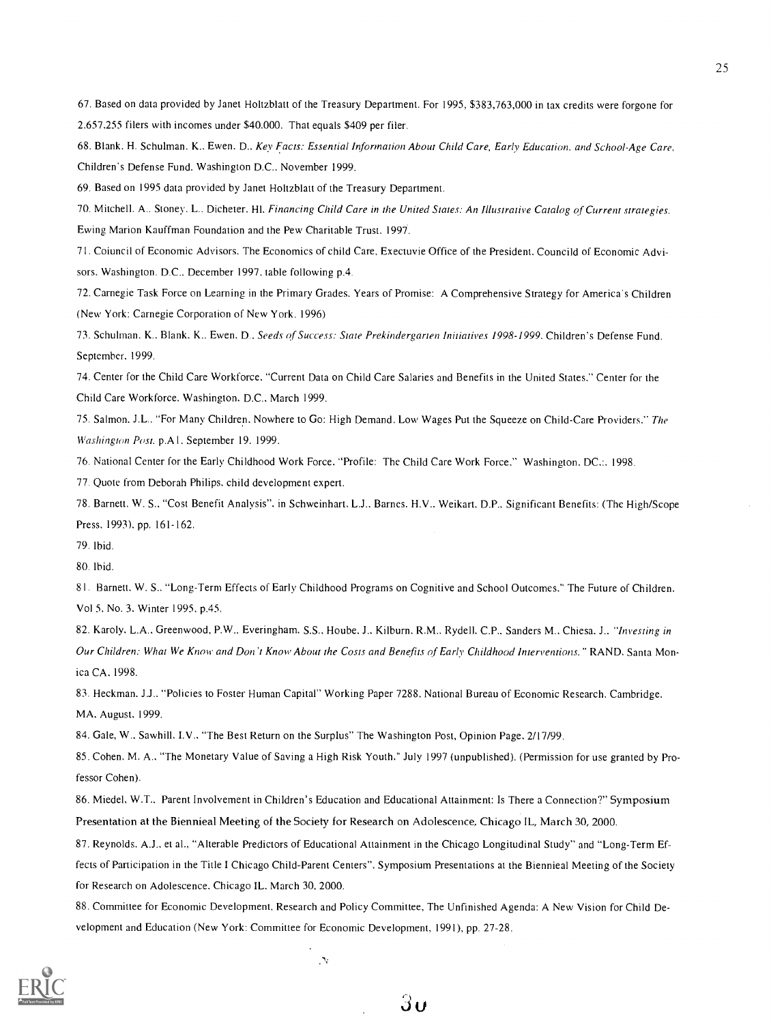67. Based on data provided by Janet Holtzblatt of the Treasury Department. For 1995, \$383,763,000 in tax credits were forgone for 2,657,255 filers with incomes under \$40.000. That equals \$409 per filer.

68. Blank. H. Schulman. K.. Ewen, D.. Key Facts: Essential Information About Child Care, Early Education. and School-Age Care. Children's Defense Fund. Washington D.C.. November 1999.

69. Based on 1995 data provided by Janet Holtzblatt of the Treasury Department.

70. Mitchell. A.. Stoney. L.. Dicheter. HI, Financing Child Care in the United States: An Illustrative Catalog of Current strategies. Ewing Marion Kauffman Foundation and the Pew Charitable Trust. 1997.

71. Coiuncil of Economic Advisors. The Economics of child Care. Exectuvie Office of the President. Councild of Economic Advisors. Washington. D.C.. December 1997. table following p.4.

72. Carnegie Task Force on Learning in the Primary Grades. Years of Promise: A Comprehensive Strategy for America's Children (New York: Carnegie Corporation of New York, 1996)

73. Schulman. K.. Blank. K.. Ewen. D.. Seeds of Success: State Prekindergarten Initiatives 1998-1999. Children's Defense Fund. September. 1999.

74. Center for the Child Care Workforce. "Current Data on Child Care Salaries and Benefits in the United States." Center for the Child Care Workforce. Washington, D.C.. March 1999.

75. Salmon. J.L.. "For Many Children. Nowhere to Go: High Demand. Low Wages Put the Squeeze on Child-Care Providers." The Washington Post, p.A1, September 19. 1999.

76. National Center for the Early Childhood Work Force. "Profile: The Child Care Work Force." Washington. DC.:. 1998.

77. Quote from Deborah Philips. child development expert.

78. Barnett. W. S.. "Cost Benefit Analysis". in Schweinhart, L.J.. Barnes. H.V.. Weikart. D.P.. Significant Benefits: (The High/Scope Press. 1993). pp. 161-162.

79. Ibid.

80. Ibid.

81. Barnett, W. S.. "Long-Term Effects of Early Childhood Programs on Cognitive and School Outcomes." The Future of Children. Vol 5. No. 3. Winter 1995. p.45.

82. Karoly. L.A.. Greenwood, P.W.. Everingham. S.S.. Hoube. J., Kilburn. R.M.. Rydell, C.P.. Sanders M.. Chiesa. J.. "Investing in Our Children: What We Know and Don't Know About the Costs and Benefits of Early Childhood Interventions," RAND, Santa Monica CA. 1998.

83. Heckman. J.J.. "Policies to Foster Human Capital" Working Paper 7288, National Bureau of Economic Research. Cambridge. MA, August, 1999.

84. Gale, W., Sawhill, I.V., "The Best Return on the Surplus" The Washington Post, Opinion Page. 2/17/99.

 $\mathcal{A}$ 

85. Cohen, M. A., "The Monetary Value of Saving a High Risk Youth," July 1997 (unpublished). (Permission for use granted by Professor Cohen).

86. Miedel, W.T.. Parent Involvement in Children's Education and Educational Attainment: Is There a Connection?" Symposium Presentation at the Biennieal Meeting of the Society for Research on Adolescence, Chicago IL, March 30, 2000.

87. Reynolds. A.J.. et al.. "Alterable Predictors of Educational Attainment in the Chicago Longitudinal Study" and "Long-Term Effects of Participation in the Title I Chicago Child-Parent Centers", Symposium Presentations at the Biennieal Meeting of the Society for Research on Adolescence, Chicago IL, March 30, 2000.

88. Committee for Economic Development, Research and Policy Committee, The Unfinished Agenda: A New Vision for Child Development and Education (New York: Committee for Economic Development, 1991), pp. 27-28.

![](_page_30_Picture_22.jpeg)

 $\beta_{\boldsymbol{U}}$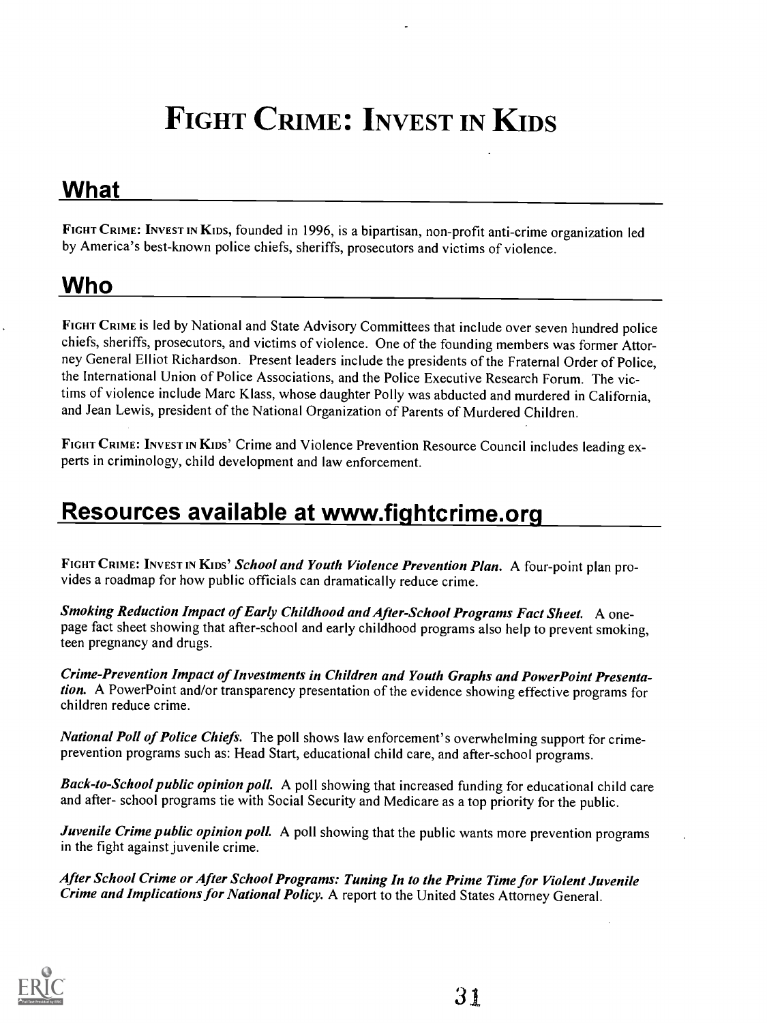## FIGHT CRIME: INVEST IN KIDS

## What

FIGHT CRIME: INVEST IN KIDS, founded in 1996, is a bipartisan, non-profit anti-crime organization led by America's best-known police chiefs, sheriffs, prosecutors and victims of violence.

## Who

FIGHT CRIME is led by National and State Advisory Committees that include over seven hundred police chiefs, sheriffs, prosecutors, and victims of violence. One of the founding members was former Attorney General Elliot Richardson. Present leaders include the presidents of the Fraternal Order of Police, the International Union of Police Associations, and the Police Executive Research Forum. The victims of violence include Marc Klass, whose daughter Polly was abducted and murdered in California, and Jean Lewis, president of the National Organization of Parents of Murdered Children.

FIGHT CRIME: INVEST IN KIDS' Crime and Violence Prevention Resource Council includes leading experts in criminology, child development and law enforcement.

## Resources available at www.fightcrime.org

FIGHT CRIME: INVEST IN KIDS' School and Youth Violence Prevention Plan. A four-point plan provides a roadmap for how public officials can dramatically reduce crime.

Smoking Reduction Impact of Early Childhood and After-School Programs Fact Sheet. A onepage fact sheet showing that after-school and early childhood programs also help to prevent smoking, teen pregnancy and drugs.

Crime-Prevention Impact of Investments in Children and Youth Graphs and PowerPoint Presentation. A PowerPoint and/or transparency presentation of the evidence showing effective programs for children reduce crime.

National Poll of Police Chiefs. The poll shows law enforcement's overwhelming support for crimeprevention programs such as: Head Start, educational child care, and after-school programs.

**Back-to-School public opinion poll.** A poll showing that increased funding for educational child care and after- school programs tie with Social Security and Medicare as a top priority for the public.

Juvenile Crime public opinion poll. A poll showing that the public wants more prevention programs in the fight against juvenile crime.

After School Crime or After School Programs: Tuning In to the Prime Time for Violent Juvenile Crime and Implications for National Policy. A report to the United States Attorney General.

![](_page_31_Picture_14.jpeg)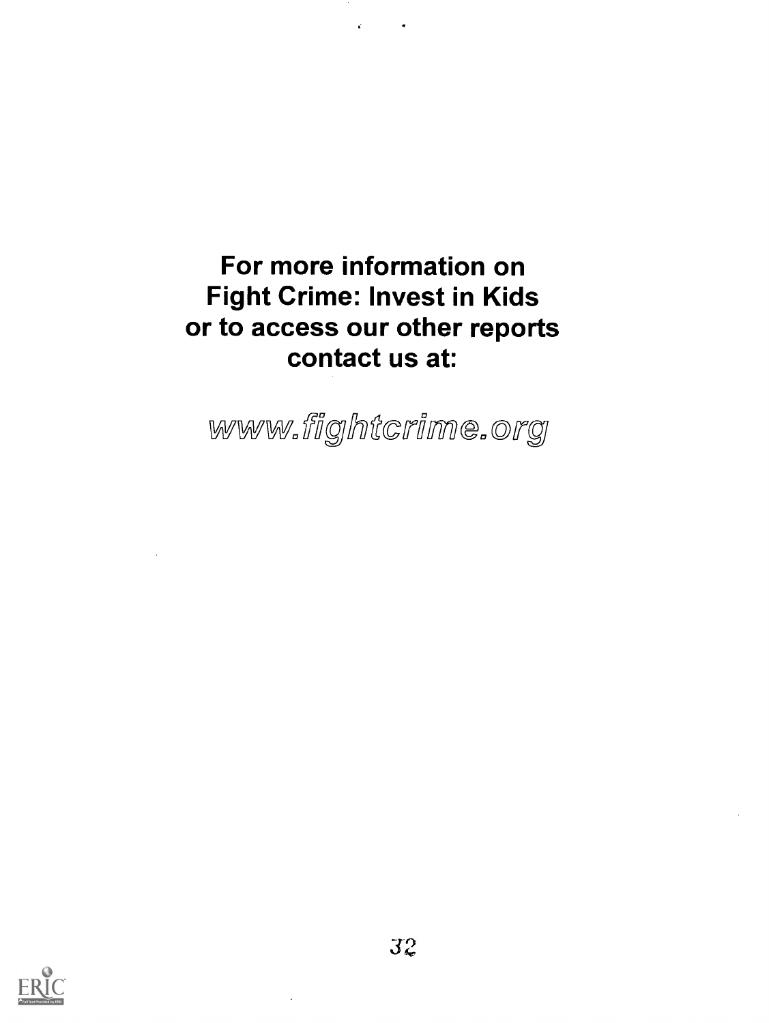## For more information on Fight Crime: Invest in Kids or to access our other reports contact us at:

www.fightcrime.org

![](_page_32_Picture_2.jpeg)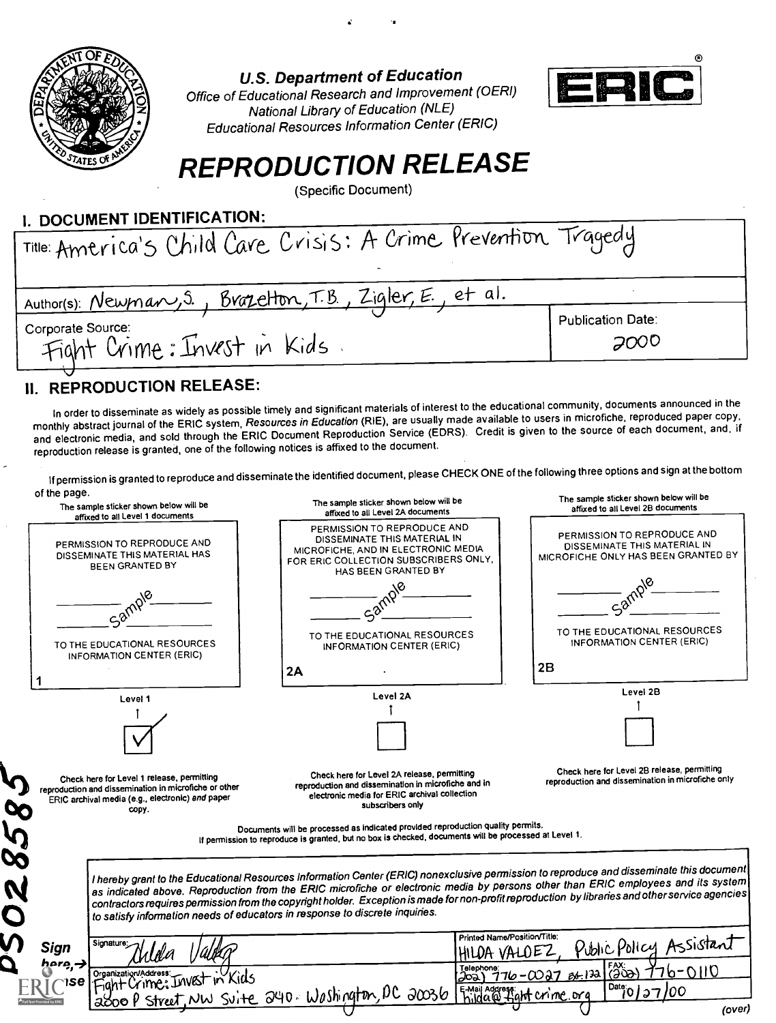![](_page_33_Picture_0.jpeg)

U.S. Department of Education

![](_page_33_Picture_2.jpeg)

Office of Educational Research and Improvement (OERI) National Library of Education (NLE) Educational Resources Information Center (ERIC)

## REPRODUCTION RELEASE

(Specific Document)

#### I. DOCUMENT IDENTIFICATION:

| 1. DUVUNIIII III<br>Title: America's Child Care Crisis: A Crime Prevention Tragedy |                                  |
|------------------------------------------------------------------------------------|----------------------------------|
| Author(s): Newman, 5., Brazelton, T.B., Zigler, E., et al.                         |                                  |
| Corporate Source:<br>Fight Crime: Invest in Kids                                   | <b>Publication Date:</b><br>2000 |

#### II. REPRODUCTION RELEASE:

C

C

ſ

In order to disseminate as widely as possible timely and significant materials of interest to the educational community, documents announced in the monthly abstract journal of the ERIC system, Resources in Education (RIE), are usually made available to users in microfiche, reproduced paper copy, and electronic media, and sold through the ERIC Document Reproduction Service (EDRS). Credit is given to the source of each document, and, if and electronic media, and sold through the ERIC Document Reproduction Service (E reproduction release is granted, one of the following notices is affixed to the document.

If permission is granted to reproduce and disseminate the identified document, please CHECK ONE of the following three options and sign at the bottom

| of the page.                                                                                                                                                     | The sample sticker shown below will be                                                                                                                                                                                                                                                                                                                                                                                                                                                                            | The sample sticker shown below will be                                                             |
|------------------------------------------------------------------------------------------------------------------------------------------------------------------|-------------------------------------------------------------------------------------------------------------------------------------------------------------------------------------------------------------------------------------------------------------------------------------------------------------------------------------------------------------------------------------------------------------------------------------------------------------------------------------------------------------------|----------------------------------------------------------------------------------------------------|
| The sample sticker shown below will be<br>affixed to all Level 1 documents                                                                                       | affixed to all Level 2A documents                                                                                                                                                                                                                                                                                                                                                                                                                                                                                 | affixed to all Level 2B documents                                                                  |
| PERMISSION TO REPRODUCE AND<br>DISSEMINATE THIS MATERIAL HAS<br><b>BEEN GRANTED BY</b>                                                                           | PERMISSION TO REPRODUCE AND<br>DISSEMINATE THIS MATERIAL IN<br>MICROFICHE, AND IN ELECTRONIC MEDIA<br>FOR ERIC COLLECTION SUBSCRIBERS ONLY,<br>HAS BEEN GRANTED BY                                                                                                                                                                                                                                                                                                                                                | PERMISSION TO REPRODUCE AND<br>DISSEMINATE THIS MATERIAL IN<br>MICROFICHE ONLY HAS BEEN GRANTED BY |
|                                                                                                                                                                  |                                                                                                                                                                                                                                                                                                                                                                                                                                                                                                                   |                                                                                                    |
| TO THE EDUCATIONAL RESOURCES<br>INFORMATION CENTER (ERIC)                                                                                                        | TO THE EDUCATIONAL RESOURCES<br>INFORMATION CENTER (ERIC)                                                                                                                                                                                                                                                                                                                                                                                                                                                         | TO THE EDUCATIONAL RESOURCES<br>INFORMATION CENTER (ERIC)                                          |
|                                                                                                                                                                  | 2A                                                                                                                                                                                                                                                                                                                                                                                                                                                                                                                | 2B                                                                                                 |
| Level 1                                                                                                                                                          | Level 2A                                                                                                                                                                                                                                                                                                                                                                                                                                                                                                          | Level 2B                                                                                           |
|                                                                                                                                                                  |                                                                                                                                                                                                                                                                                                                                                                                                                                                                                                                   |                                                                                                    |
|                                                                                                                                                                  |                                                                                                                                                                                                                                                                                                                                                                                                                                                                                                                   |                                                                                                    |
| Check here for Level 1 release, permitting<br>reproduction and dissemination in microfiche or other<br>ERIC archival media (e.g., electronic) and paper<br>CODY. | Check here for Level 2A release, permitting<br>reproduction and dissemination in microfiche and in<br>electronic media for ERIC archival collection<br>subscribers only                                                                                                                                                                                                                                                                                                                                           | Check here for Level 2B release, permitting<br>reproduction and dissemination in microfiche only   |
|                                                                                                                                                                  | Documents will be processed as indicated provided reproduction quality permits.<br>If permission to reproduce is granted, but no box is checked, documents will be processed at Level 1.                                                                                                                                                                                                                                                                                                                          |                                                                                                    |
|                                                                                                                                                                  | I hereby grant to the Educational Resources Information Center (ERIC) nonexclusive permission to reproduce and disseminate this document<br>as indicated above. Reproduction from the ERIC microfiche or electronic media by persons other than ERIC employees and its system<br>contractors requires permission from the copyright holder. Exception is made for non-profit reproduction by libraries and other service agencies<br>to satisfy information needs of educators in response to discrete inquiries. |                                                                                                    |
| Signature:<br>Sign                                                                                                                                               | Printed Name/Position/Title:                                                                                                                                                                                                                                                                                                                                                                                                                                                                                      | Public Policy Assistant<br>DA VALOEZ                                                               |
| here -)<br>Fight Crime: Invest in Kids                                                                                                                           | Telephone:<br>20a)                                                                                                                                                                                                                                                                                                                                                                                                                                                                                                | $\frac{100-00078+132}{776-00078}$                                                                  |
|                                                                                                                                                                  | aboo P street, NW Svite 240. Washington, DC 20036                                                                                                                                                                                                                                                                                                                                                                                                                                                                 | $\sqrt{\frac{Date}{100}}$ 0   $\frac{0.000}{0.000}$<br>ht crime.org                                |
|                                                                                                                                                                  |                                                                                                                                                                                                                                                                                                                                                                                                                                                                                                                   | (over)                                                                                             |